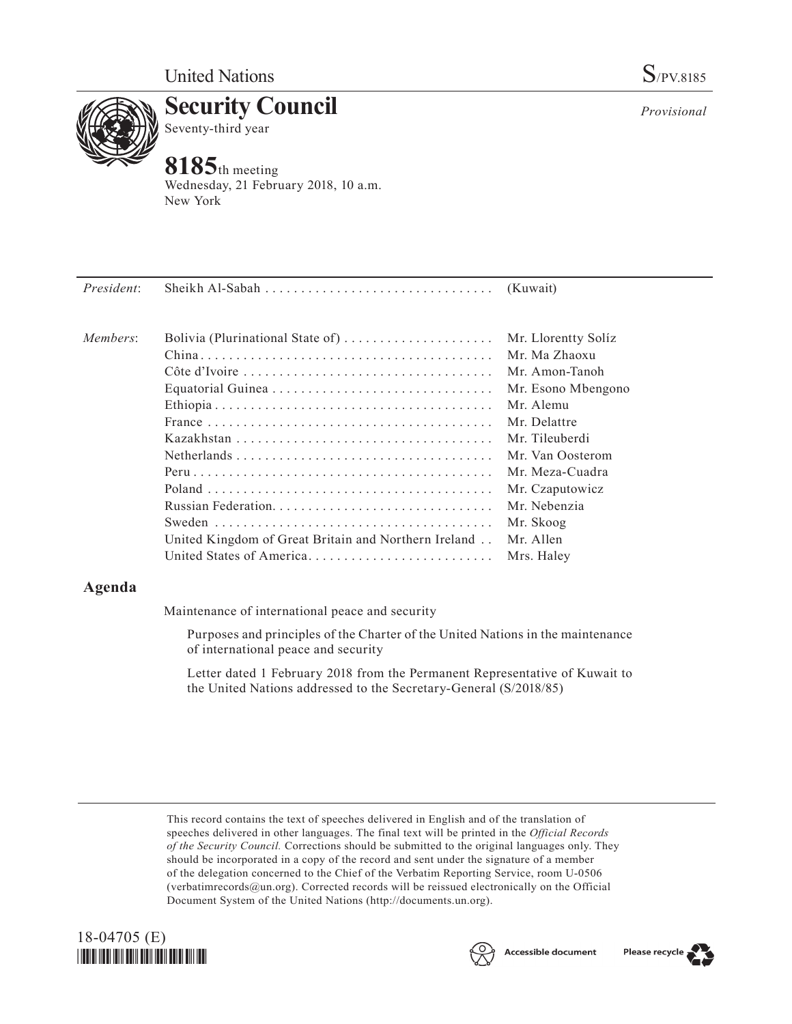

**Security Council** Seventy-third year

# **8185**th meeting

Wednesday, 21 February 2018, 10 a.m. New York

| President: |                                                      |                     |
|------------|------------------------------------------------------|---------------------|
| Members:   | Bolivia (Plurinational State of)                     | Mr. Llorentty Solíz |
|            |                                                      | Mr. Ma Zhaoxu       |
|            |                                                      | Mr. Amon-Tanoh      |
|            |                                                      | Mr. Esono Mbengono  |
|            |                                                      | Mr. Alemu           |
|            |                                                      | Mr. Delattre        |
|            |                                                      | Mr. Tileuberdi      |
|            |                                                      | Mr. Van Oosterom    |
|            |                                                      | Mr. Meza-Cuadra     |
|            |                                                      | Mr. Czaputowicz     |
|            |                                                      | Mr. Nebenzia        |
|            |                                                      | Mr. Skoog           |
|            | United Kingdom of Great Britain and Northern Ireland | Mr. Allen           |
|            | United States of America                             | Mrs. Haley          |
|            |                                                      |                     |

## **Agenda**

Maintenance of international peace and security

Purposes and principles of the Charter of the United Nations in the maintenance of international peace and security

Letter dated 1 February 2018 from the Permanent Representative of Kuwait to the United Nations addressed to the Secretary-General (S/2018/85)

This record contains the text of speeches delivered in English and of the translation of speeches delivered in other languages. The final text will be printed in the *Official Records of the Security Council.* Corrections should be submitted to the original languages only. They should be incorporated in a copy of the record and sent under the signature of a member of the delegation concerned to the Chief of the Verbatim Reporting Service, room U-0506 (verbatimrecords $@un.org$ ). Corrected records will be reissued electronically on the Official Document System of the United Nations [\(http://documents.un.org\)](http://documents.un.org).







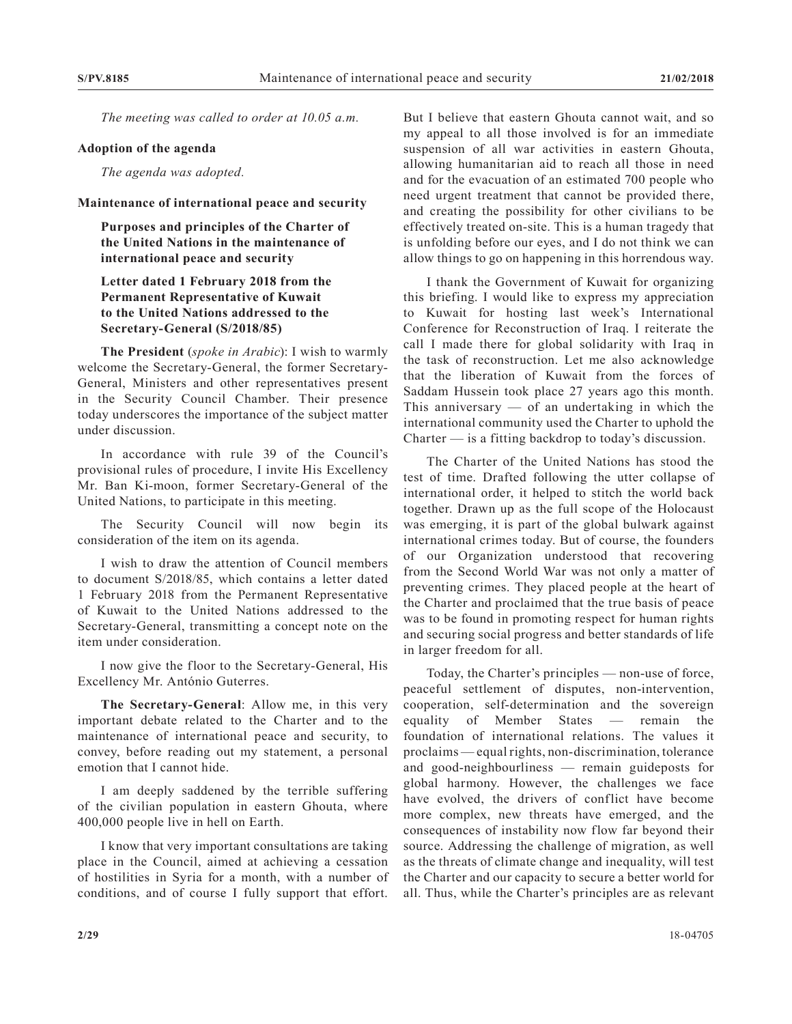*The meeting was called to order at 10.05 a.m.*

#### **Adoption of the agenda**

*The agenda was adopted.*

#### **Maintenance of international peace and security**

**Purposes and principles of the Charter of the United Nations in the maintenance of international peace and security**

### **Letter dated 1 February 2018 from the Permanent Representative of Kuwait to the United Nations addressed to the Secretary-General (S/2018/85)**

**The President** (*spoke in Arabic*): I wish to warmly welcome the Secretary-General, the former Secretary-General, Ministers and other representatives present in the Security Council Chamber. Their presence today underscores the importance of the subject matter under discussion.

In accordance with rule 39 of the Council's provisional rules of procedure, I invite His Excellency Mr. Ban Ki-moon, former Secretary-General of the United Nations, to participate in this meeting.

The Security Council will now begin its consideration of the item on its agenda.

I wish to draw the attention of Council members to document S/2018/85, which contains a letter dated 1 February 2018 from the Permanent Representative of Kuwait to the United Nations addressed to the Secretary-General, transmitting a concept note on the item under consideration.

I now give the floor to the Secretary-General, His Excellency Mr. António Guterres.

**The Secretary-General**: Allow me, in this very important debate related to the Charter and to the maintenance of international peace and security, to convey, before reading out my statement, a personal emotion that I cannot hide.

I am deeply saddened by the terrible suffering of the civilian population in eastern Ghouta, where 400,000 people live in hell on Earth.

I know that very important consultations are taking place in the Council, aimed at achieving a cessation of hostilities in Syria for a month, with a number of conditions, and of course I fully support that effort.

But I believe that eastern Ghouta cannot wait, and so my appeal to all those involved is for an immediate suspension of all war activities in eastern Ghouta, allowing humanitarian aid to reach all those in need and for the evacuation of an estimated 700 people who need urgent treatment that cannot be provided there, and creating the possibility for other civilians to be effectively treated on-site. This is a human tragedy that is unfolding before our eyes, and I do not think we can allow things to go on happening in this horrendous way.

I thank the Government of Kuwait for organizing this briefing. I would like to express my appreciation to Kuwait for hosting last week's International Conference for Reconstruction of Iraq. I reiterate the call I made there for global solidarity with Iraq in the task of reconstruction. Let me also acknowledge that the liberation of Kuwait from the forces of Saddam Hussein took place 27 years ago this month. This anniversary  $-$  of an undertaking in which the international community used the Charter to uphold the Charter — is a fitting backdrop to today's discussion.

The Charter of the United Nations has stood the test of time. Drafted following the utter collapse of international order, it helped to stitch the world back together. Drawn up as the full scope of the Holocaust was emerging, it is part of the global bulwark against international crimes today. But of course, the founders of our Organization understood that recovering from the Second World War was not only a matter of preventing crimes. They placed people at the heart of the Charter and proclaimed that the true basis of peace was to be found in promoting respect for human rights and securing social progress and better standards of life in larger freedom for all.

Today, the Charter's principles — non-use of force, peaceful settlement of disputes, non-intervention, cooperation, self-determination and the sovereign equality of Member States — remain the foundation of international relations. The values it proclaims — equal rights, non-discrimination, tolerance and good-neighbourliness — remain guideposts for global harmony. However, the challenges we face have evolved, the drivers of conflict have become more complex, new threats have emerged, and the consequences of instability now flow far beyond their source. Addressing the challenge of migration, as well as the threats of climate change and inequality, will test the Charter and our capacity to secure a better world for all. Thus, while the Charter's principles are as relevant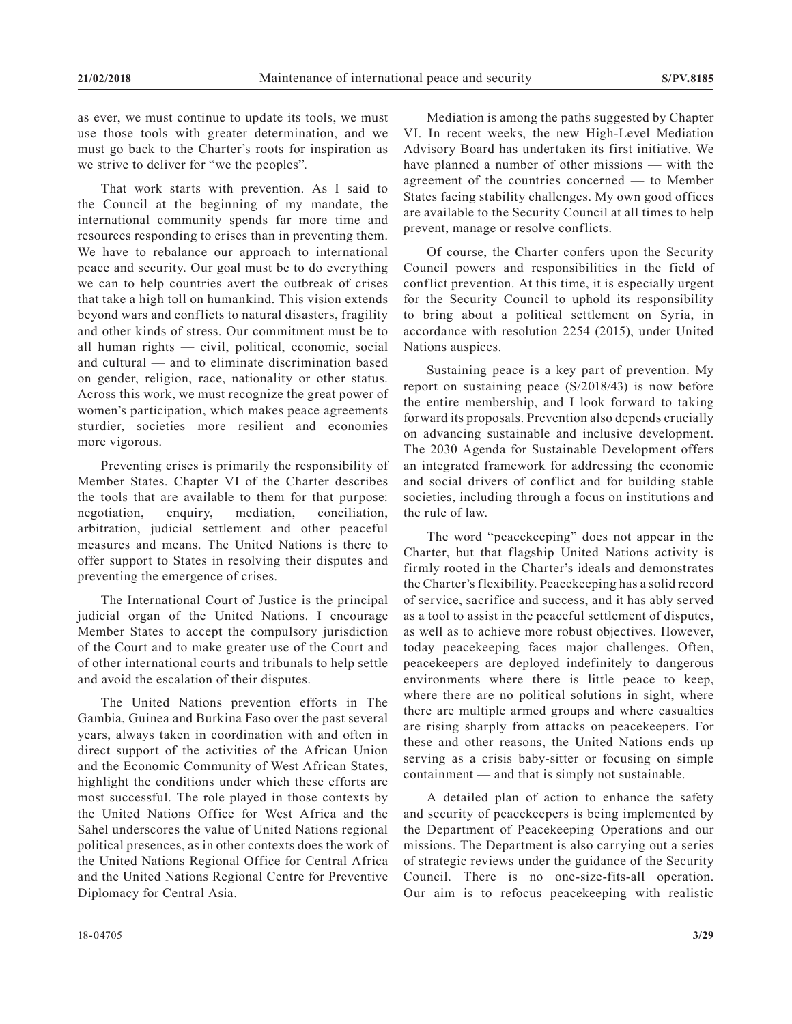as ever, we must continue to update its tools, we must use those tools with greater determination, and we must go back to the Charter's roots for inspiration as we strive to deliver for "we the peoples".

That work starts with prevention. As I said to the Council at the beginning of my mandate, the international community spends far more time and resources responding to crises than in preventing them. We have to rebalance our approach to international peace and security. Our goal must be to do everything we can to help countries avert the outbreak of crises that take a high toll on humankind. This vision extends beyond wars and conflicts to natural disasters, fragility and other kinds of stress. Our commitment must be to all human rights — civil, political, economic, social and cultural — and to eliminate discrimination based on gender, religion, race, nationality or other status. Across this work, we must recognize the great power of women's participation, which makes peace agreements sturdier, societies more resilient and economies more vigorous.

Preventing crises is primarily the responsibility of Member States. Chapter VI of the Charter describes the tools that are available to them for that purpose: negotiation, enquiry, mediation, conciliation, arbitration, judicial settlement and other peaceful measures and means. The United Nations is there to offer support to States in resolving their disputes and preventing the emergence of crises.

The International Court of Justice is the principal judicial organ of the United Nations. I encourage Member States to accept the compulsory jurisdiction of the Court and to make greater use of the Court and of other international courts and tribunals to help settle and avoid the escalation of their disputes.

The United Nations prevention efforts in The Gambia, Guinea and Burkina Faso over the past several years, always taken in coordination with and often in direct support of the activities of the African Union and the Economic Community of West African States, highlight the conditions under which these efforts are most successful. The role played in those contexts by the United Nations Office for West Africa and the Sahel underscores the value of United Nations regional political presences, as in other contexts does the work of the United Nations Regional Office for Central Africa and the United Nations Regional Centre for Preventive Diplomacy for Central Asia.

Mediation is among the paths suggested by Chapter VI. In recent weeks, the new High-Level Mediation Advisory Board has undertaken its first initiative. We have planned a number of other missions — with the agreement of the countries concerned — to Member States facing stability challenges. My own good offices are available to the Security Council at all times to help prevent, manage or resolve conflicts.

Of course, the Charter confers upon the Security Council powers and responsibilities in the field of conflict prevention. At this time, it is especially urgent for the Security Council to uphold its responsibility to bring about a political settlement on Syria, in accordance with resolution 2254 (2015), under United Nations auspices.

Sustaining peace is a key part of prevention. My report on sustaining peace (S/2018/43) is now before the entire membership, and I look forward to taking forward its proposals. Prevention also depends crucially on advancing sustainable and inclusive development. The 2030 Agenda for Sustainable Development offers an integrated framework for addressing the economic and social drivers of conflict and for building stable societies, including through a focus on institutions and the rule of law.

The word "peacekeeping" does not appear in the Charter, but that flagship United Nations activity is firmly rooted in the Charter's ideals and demonstrates the Charter's flexibility. Peacekeeping has a solid record of service, sacrifice and success, and it has ably served as a tool to assist in the peaceful settlement of disputes, as well as to achieve more robust objectives. However, today peacekeeping faces major challenges. Often, peacekeepers are deployed indefinitely to dangerous environments where there is little peace to keep, where there are no political solutions in sight, where there are multiple armed groups and where casualties are rising sharply from attacks on peacekeepers. For these and other reasons, the United Nations ends up serving as a crisis baby-sitter or focusing on simple containment — and that is simply not sustainable.

A detailed plan of action to enhance the safety and security of peacekeepers is being implemented by the Department of Peacekeeping Operations and our missions. The Department is also carrying out a series of strategic reviews under the guidance of the Security Council. There is no one-size-fits-all operation. Our aim is to refocus peacekeeping with realistic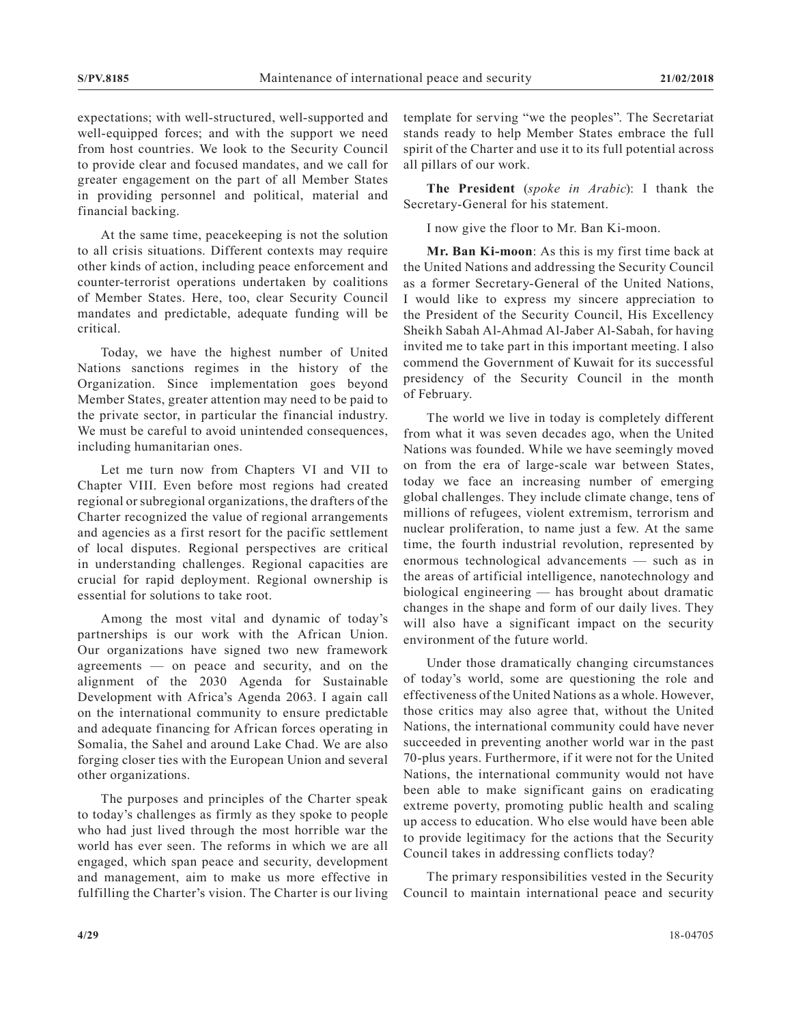expectations; with well-structured, well-supported and well-equipped forces; and with the support we need from host countries. We look to the Security Council to provide clear and focused mandates, and we call for greater engagement on the part of all Member States in providing personnel and political, material and financial backing.

At the same time, peacekeeping is not the solution to all crisis situations. Different contexts may require other kinds of action, including peace enforcement and counter-terrorist operations undertaken by coalitions of Member States. Here, too, clear Security Council mandates and predictable, adequate funding will be critical.

Today, we have the highest number of United Nations sanctions regimes in the history of the Organization. Since implementation goes beyond Member States, greater attention may need to be paid to the private sector, in particular the financial industry. We must be careful to avoid unintended consequences, including humanitarian ones.

Let me turn now from Chapters VI and VII to Chapter VIII. Even before most regions had created regional or subregional organizations, the drafters of the Charter recognized the value of regional arrangements and agencies as a first resort for the pacific settlement of local disputes. Regional perspectives are critical in understanding challenges. Regional capacities are crucial for rapid deployment. Regional ownership is essential for solutions to take root.

Among the most vital and dynamic of today's partnerships is our work with the African Union. Our organizations have signed two new framework agreements — on peace and security, and on the alignment of the 2030 Agenda for Sustainable Development with Africa's Agenda 2063. I again call on the international community to ensure predictable and adequate financing for African forces operating in Somalia, the Sahel and around Lake Chad. We are also forging closer ties with the European Union and several other organizations.

The purposes and principles of the Charter speak to today's challenges as firmly as they spoke to people who had just lived through the most horrible war the world has ever seen. The reforms in which we are all engaged, which span peace and security, development and management, aim to make us more effective in fulfilling the Charter's vision. The Charter is our living template for serving "we the peoples". The Secretariat stands ready to help Member States embrace the full spirit of the Charter and use it to its full potential across all pillars of our work.

**The President** (*spoke in Arabic*): I thank the Secretary-General for his statement.

I now give the floor to Mr. Ban Ki-moon.

**Mr. Ban Ki-moon**: As this is my first time back at the United Nations and addressing the Security Council as a former Secretary-General of the United Nations, I would like to express my sincere appreciation to the President of the Security Council, His Excellency Sheikh Sabah Al-Ahmad Al-Jaber Al-Sabah, for having invited me to take part in this important meeting. I also commend the Government of Kuwait for its successful presidency of the Security Council in the month of February.

The world we live in today is completely different from what it was seven decades ago, when the United Nations was founded. While we have seemingly moved on from the era of large-scale war between States, today we face an increasing number of emerging global challenges. They include climate change, tens of millions of refugees, violent extremism, terrorism and nuclear proliferation, to name just a few. At the same time, the fourth industrial revolution, represented by enormous technological advancements — such as in the areas of artificial intelligence, nanotechnology and biological engineering — has brought about dramatic changes in the shape and form of our daily lives. They will also have a significant impact on the security environment of the future world.

Under those dramatically changing circumstances of today's world, some are questioning the role and effectiveness of the United Nations as a whole. However, those critics may also agree that, without the United Nations, the international community could have never succeeded in preventing another world war in the past 70-plus years. Furthermore, if it were not for the United Nations, the international community would not have been able to make significant gains on eradicating extreme poverty, promoting public health and scaling up access to education. Who else would have been able to provide legitimacy for the actions that the Security Council takes in addressing conflicts today?

The primary responsibilities vested in the Security Council to maintain international peace and security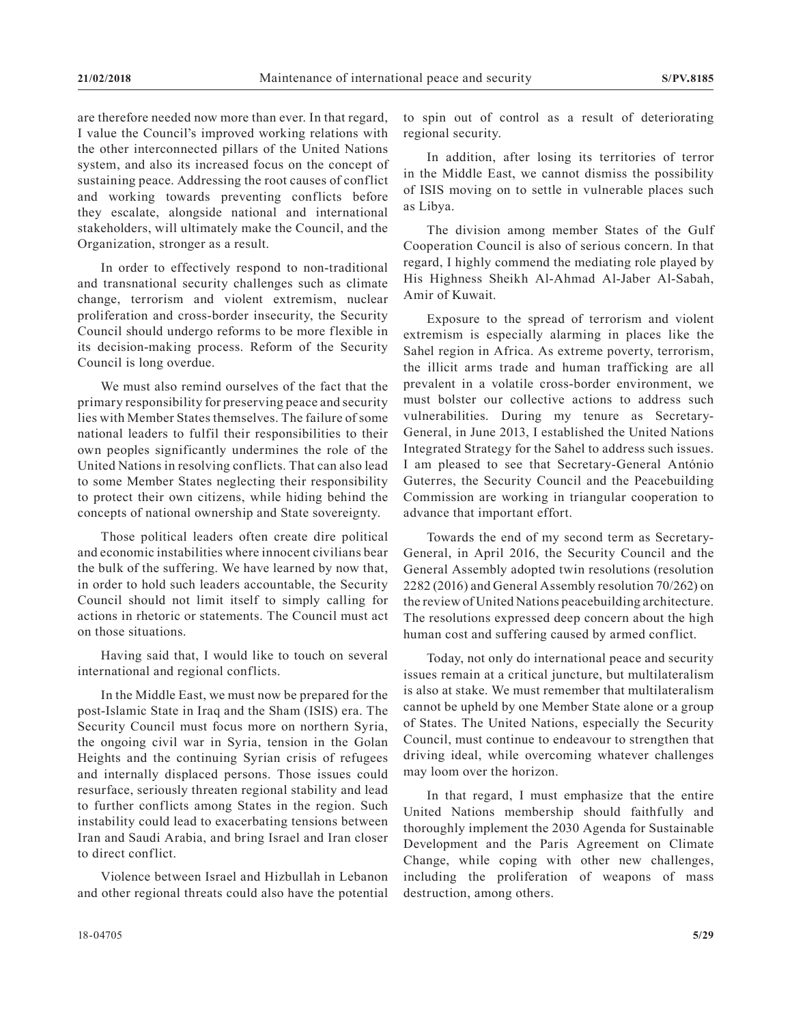are therefore needed now more than ever. In that regard, I value the Council's improved working relations with the other interconnected pillars of the United Nations system, and also its increased focus on the concept of sustaining peace. Addressing the root causes of conflict and working towards preventing conflicts before they escalate, alongside national and international stakeholders, will ultimately make the Council, and the Organization, stronger as a result.

In order to effectively respond to non-traditional and transnational security challenges such as climate change, terrorism and violent extremism, nuclear proliferation and cross-border insecurity, the Security Council should undergo reforms to be more flexible in its decision-making process. Reform of the Security Council is long overdue.

We must also remind ourselves of the fact that the primary responsibility for preserving peace and security lies with Member States themselves. The failure of some national leaders to fulfil their responsibilities to their own peoples significantly undermines the role of the United Nations in resolving conflicts. That can also lead to some Member States neglecting their responsibility to protect their own citizens, while hiding behind the concepts of national ownership and State sovereignty.

Those political leaders often create dire political and economic instabilities where innocent civilians bear the bulk of the suffering. We have learned by now that, in order to hold such leaders accountable, the Security Council should not limit itself to simply calling for actions in rhetoric or statements. The Council must act on those situations.

Having said that, I would like to touch on several international and regional conflicts.

In the Middle East, we must now be prepared for the post-Islamic State in Iraq and the Sham (ISIS) era. The Security Council must focus more on northern Syria, the ongoing civil war in Syria, tension in the Golan Heights and the continuing Syrian crisis of refugees and internally displaced persons. Those issues could resurface, seriously threaten regional stability and lead to further conflicts among States in the region. Such instability could lead to exacerbating tensions between Iran and Saudi Arabia, and bring Israel and Iran closer to direct conflict.

Violence between Israel and Hizbullah in Lebanon and other regional threats could also have the potential

to spin out of control as a result of deteriorating regional security.

In addition, after losing its territories of terror in the Middle East, we cannot dismiss the possibility of ISIS moving on to settle in vulnerable places such as Libya.

The division among member States of the Gulf Cooperation Council is also of serious concern. In that regard, I highly commend the mediating role played by His Highness Sheikh Al-Ahmad Al-Jaber Al-Sabah, Amir of Kuwait.

Exposure to the spread of terrorism and violent extremism is especially alarming in places like the Sahel region in Africa. As extreme poverty, terrorism, the illicit arms trade and human trafficking are all prevalent in a volatile cross-border environment, we must bolster our collective actions to address such vulnerabilities. During my tenure as Secretary-General, in June 2013, I established the United Nations Integrated Strategy for the Sahel to address such issues. I am pleased to see that Secretary-General António Guterres, the Security Council and the Peacebuilding Commission are working in triangular cooperation to advance that important effort.

Towards the end of my second term as Secretary-General, in April 2016, the Security Council and the General Assembly adopted twin resolutions (resolution 2282 (2016) and General Assembly resolution 70/262) on the review of United Nations peacebuilding architecture. The resolutions expressed deep concern about the high human cost and suffering caused by armed conflict.

Today, not only do international peace and security issues remain at a critical juncture, but multilateralism is also at stake. We must remember that multilateralism cannot be upheld by one Member State alone or a group of States. The United Nations, especially the Security Council, must continue to endeavour to strengthen that driving ideal, while overcoming whatever challenges may loom over the horizon.

In that regard, I must emphasize that the entire United Nations membership should faithfully and thoroughly implement the 2030 Agenda for Sustainable Development and the Paris Agreement on Climate Change, while coping with other new challenges, including the proliferation of weapons of mass destruction, among others.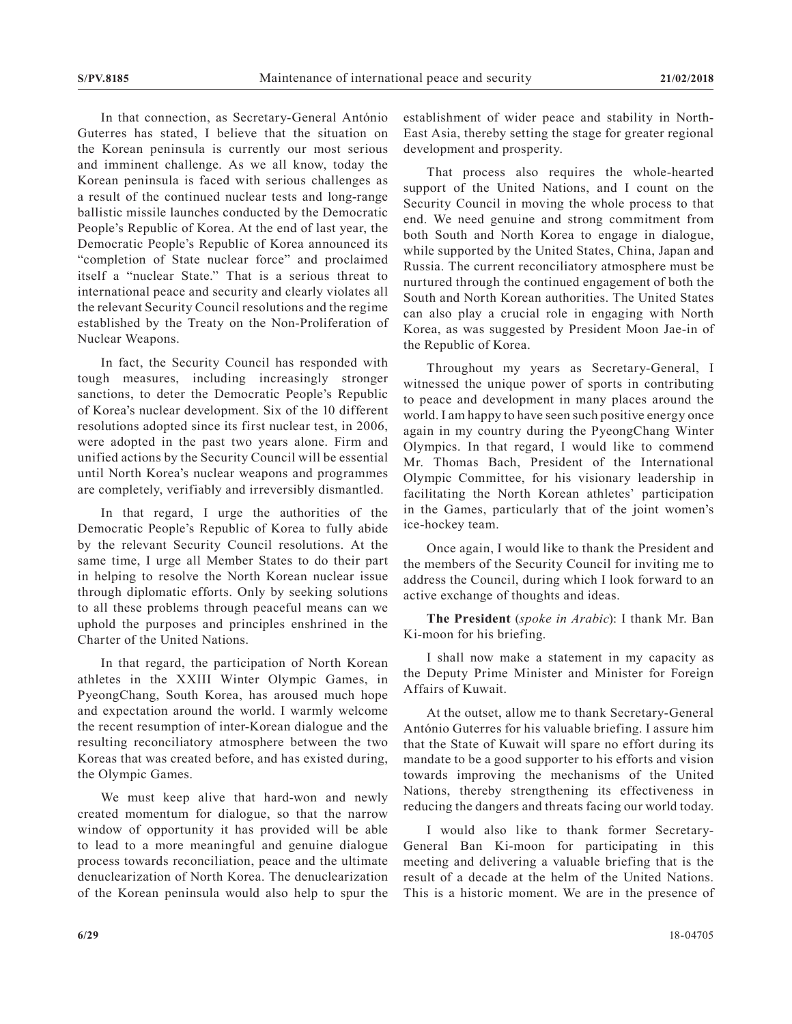In that connection, as Secretary-General António Guterres has stated, I believe that the situation on the Korean peninsula is currently our most serious and imminent challenge. As we all know, today the Korean peninsula is faced with serious challenges as a result of the continued nuclear tests and long-range ballistic missile launches conducted by the Democratic People's Republic of Korea. At the end of last year, the Democratic People's Republic of Korea announced its "completion of State nuclear force" and proclaimed itself a "nuclear State." That is a serious threat to international peace and security and clearly violates all the relevant Security Council resolutions and the regime established by the Treaty on the Non-Proliferation of Nuclear Weapons.

In fact, the Security Council has responded with tough measures, including increasingly stronger sanctions, to deter the Democratic People's Republic of Korea's nuclear development. Six of the 10 different resolutions adopted since its first nuclear test, in 2006, were adopted in the past two years alone. Firm and unified actions by the Security Council will be essential until North Korea's nuclear weapons and programmes are completely, verifiably and irreversibly dismantled.

In that regard, I urge the authorities of the Democratic People's Republic of Korea to fully abide by the relevant Security Council resolutions. At the same time, I urge all Member States to do their part in helping to resolve the North Korean nuclear issue through diplomatic efforts. Only by seeking solutions to all these problems through peaceful means can we uphold the purposes and principles enshrined in the Charter of the United Nations.

In that regard, the participation of North Korean athletes in the XXIII Winter Olympic Games, in PyeongChang, South Korea, has aroused much hope and expectation around the world. I warmly welcome the recent resumption of inter-Korean dialogue and the resulting reconciliatory atmosphere between the two Koreas that was created before, and has existed during, the Olympic Games.

We must keep alive that hard-won and newly created momentum for dialogue, so that the narrow window of opportunity it has provided will be able to lead to a more meaningful and genuine dialogue process towards reconciliation, peace and the ultimate denuclearization of North Korea. The denuclearization of the Korean peninsula would also help to spur the establishment of wider peace and stability in North-East Asia, thereby setting the stage for greater regional development and prosperity.

That process also requires the whole-hearted support of the United Nations, and I count on the Security Council in moving the whole process to that end. We need genuine and strong commitment from both South and North Korea to engage in dialogue, while supported by the United States, China, Japan and Russia. The current reconciliatory atmosphere must be nurtured through the continued engagement of both the South and North Korean authorities. The United States can also play a crucial role in engaging with North Korea, as was suggested by President Moon Jae-in of the Republic of Korea.

Throughout my years as Secretary-General, I witnessed the unique power of sports in contributing to peace and development in many places around the world. I am happy to have seen such positive energy once again in my country during the PyeongChang Winter Olympics. In that regard, I would like to commend Mr. Thomas Bach, President of the International Olympic Committee, for his visionary leadership in facilitating the North Korean athletes' participation in the Games, particularly that of the joint women's ice-hockey team.

Once again, I would like to thank the President and the members of the Security Council for inviting me to address the Council, during which I look forward to an active exchange of thoughts and ideas.

**The President** (*spoke in Arabic*): I thank Mr. Ban Ki-moon for his briefing.

I shall now make a statement in my capacity as the Deputy Prime Minister and Minister for Foreign Affairs of Kuwait.

At the outset, allow me to thank Secretary-General António Guterres for his valuable briefing. I assure him that the State of Kuwait will spare no effort during its mandate to be a good supporter to his efforts and vision towards improving the mechanisms of the United Nations, thereby strengthening its effectiveness in reducing the dangers and threats facing our world today.

I would also like to thank former Secretary-General Ban Ki-moon for participating in this meeting and delivering a valuable briefing that is the result of a decade at the helm of the United Nations. This is a historic moment. We are in the presence of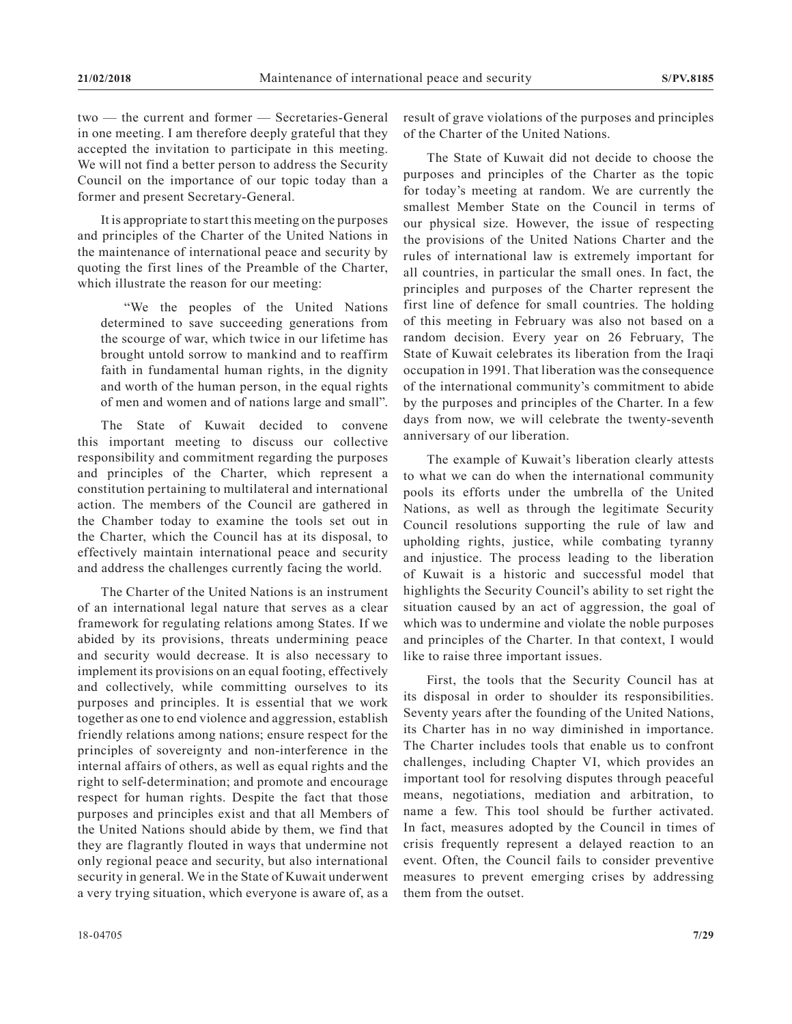two — the current and former — Secretaries-General in one meeting. I am therefore deeply grateful that they accepted the invitation to participate in this meeting. We will not find a better person to address the Security Council on the importance of our topic today than a former and present Secretary-General.

It is appropriate to start this meeting on the purposes and principles of the Charter of the United Nations in the maintenance of international peace and security by quoting the first lines of the Preamble of the Charter, which illustrate the reason for our meeting:

"We the peoples of the United Nations determined to save succeeding generations from the scourge of war, which twice in our lifetime has brought untold sorrow to mankind and to reaffirm faith in fundamental human rights, in the dignity and worth of the human person, in the equal rights of men and women and of nations large and small".

The State of Kuwait decided to convene this important meeting to discuss our collective responsibility and commitment regarding the purposes and principles of the Charter, which represent a constitution pertaining to multilateral and international action. The members of the Council are gathered in the Chamber today to examine the tools set out in the Charter, which the Council has at its disposal, to effectively maintain international peace and security and address the challenges currently facing the world.

The Charter of the United Nations is an instrument of an international legal nature that serves as a clear framework for regulating relations among States. If we abided by its provisions, threats undermining peace and security would decrease. It is also necessary to implement its provisions on an equal footing, effectively and collectively, while committing ourselves to its purposes and principles. It is essential that we work together as one to end violence and aggression, establish friendly relations among nations; ensure respect for the principles of sovereignty and non-interference in the internal affairs of others, as well as equal rights and the right to self-determination; and promote and encourage respect for human rights. Despite the fact that those purposes and principles exist and that all Members of the United Nations should abide by them, we find that they are flagrantly flouted in ways that undermine not only regional peace and security, but also international security in general. We in the State of Kuwait underwent a very trying situation, which everyone is aware of, as a

result of grave violations of the purposes and principles of the Charter of the United Nations.

The State of Kuwait did not decide to choose the purposes and principles of the Charter as the topic for today's meeting at random. We are currently the smallest Member State on the Council in terms of our physical size. However, the issue of respecting the provisions of the United Nations Charter and the rules of international law is extremely important for all countries, in particular the small ones. In fact, the principles and purposes of the Charter represent the first line of defence for small countries. The holding of this meeting in February was also not based on a random decision. Every year on 26 February, The State of Kuwait celebrates its liberation from the Iraqi occupation in 1991. That liberation was the consequence of the international community's commitment to abide by the purposes and principles of the Charter. In a few days from now, we will celebrate the twenty-seventh anniversary of our liberation.

The example of Kuwait's liberation clearly attests to what we can do when the international community pools its efforts under the umbrella of the United Nations, as well as through the legitimate Security Council resolutions supporting the rule of law and upholding rights, justice, while combating tyranny and injustice. The process leading to the liberation of Kuwait is a historic and successful model that highlights the Security Council's ability to set right the situation caused by an act of aggression, the goal of which was to undermine and violate the noble purposes and principles of the Charter. In that context, I would like to raise three important issues.

First, the tools that the Security Council has at its disposal in order to shoulder its responsibilities. Seventy years after the founding of the United Nations, its Charter has in no way diminished in importance. The Charter includes tools that enable us to confront challenges, including Chapter VI, which provides an important tool for resolving disputes through peaceful means, negotiations, mediation and arbitration, to name a few. This tool should be further activated. In fact, measures adopted by the Council in times of crisis frequently represent a delayed reaction to an event. Often, the Council fails to consider preventive measures to prevent emerging crises by addressing them from the outset.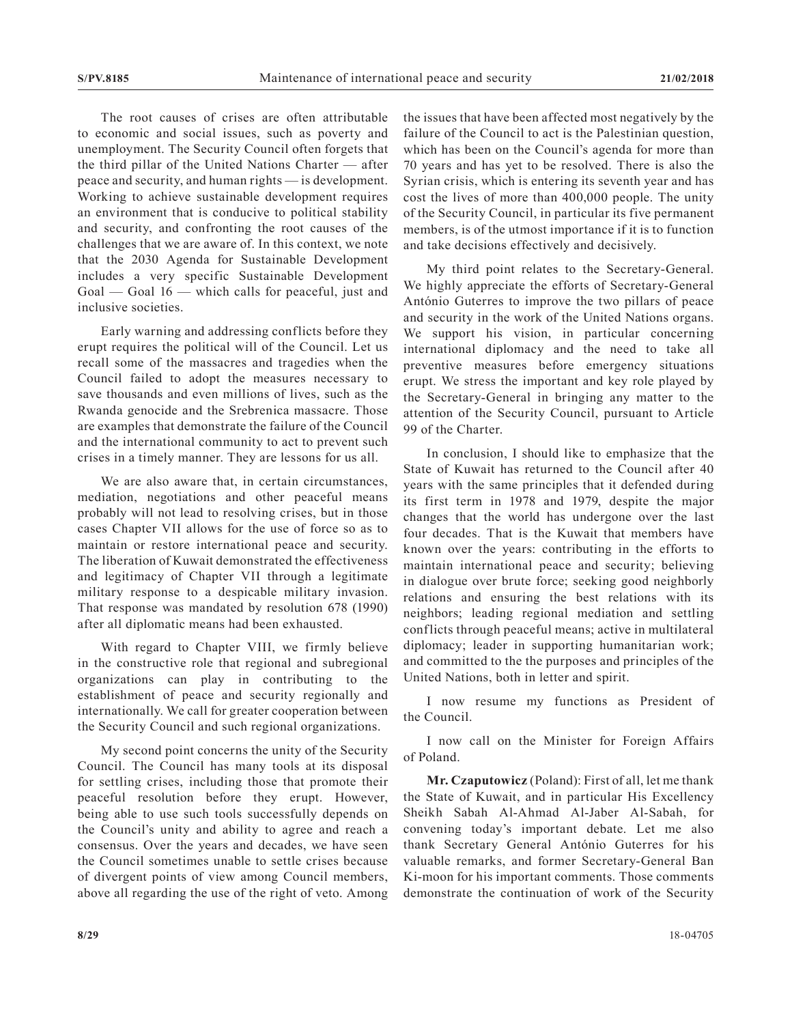The root causes of crises are often attributable to economic and social issues, such as poverty and unemployment. The Security Council often forgets that the third pillar of the United Nations Charter — after peace and security, and human rights — is development. Working to achieve sustainable development requires an environment that is conducive to political stability and security, and confronting the root causes of the challenges that we are aware of. In this context, we note that the 2030 Agenda for Sustainable Development includes a very specific Sustainable Development Goal — Goal 16 — which calls for peaceful, just and inclusive societies.

Early warning and addressing conflicts before they erupt requires the political will of the Council. Let us recall some of the massacres and tragedies when the Council failed to adopt the measures necessary to save thousands and even millions of lives, such as the Rwanda genocide and the Srebrenica massacre. Those are examples that demonstrate the failure of the Council and the international community to act to prevent such crises in a timely manner. They are lessons for us all.

We are also aware that, in certain circumstances, mediation, negotiations and other peaceful means probably will not lead to resolving crises, but in those cases Chapter VII allows for the use of force so as to maintain or restore international peace and security. The liberation of Kuwait demonstrated the effectiveness and legitimacy of Chapter VII through a legitimate military response to a despicable military invasion. That response was mandated by resolution 678 (1990) after all diplomatic means had been exhausted.

With regard to Chapter VIII, we firmly believe in the constructive role that regional and subregional organizations can play in contributing to the establishment of peace and security regionally and internationally. We call for greater cooperation between the Security Council and such regional organizations.

My second point concerns the unity of the Security Council. The Council has many tools at its disposal for settling crises, including those that promote their peaceful resolution before they erupt. However, being able to use such tools successfully depends on the Council's unity and ability to agree and reach a consensus. Over the years and decades, we have seen the Council sometimes unable to settle crises because of divergent points of view among Council members, above all regarding the use of the right of veto. Among the issues that have been affected most negatively by the failure of the Council to act is the Palestinian question, which has been on the Council's agenda for more than 70 years and has yet to be resolved. There is also the Syrian crisis, which is entering its seventh year and has cost the lives of more than 400,000 people. The unity of the Security Council, in particular its five permanent members, is of the utmost importance if it is to function and take decisions effectively and decisively.

My third point relates to the Secretary-General. We highly appreciate the efforts of Secretary-General António Guterres to improve the two pillars of peace and security in the work of the United Nations organs. We support his vision, in particular concerning international diplomacy and the need to take all preventive measures before emergency situations erupt. We stress the important and key role played by the Secretary-General in bringing any matter to the attention of the Security Council, pursuant to Article 99 of the Charter.

In conclusion, I should like to emphasize that the State of Kuwait has returned to the Council after 40 years with the same principles that it defended during its first term in 1978 and 1979, despite the major changes that the world has undergone over the last four decades. That is the Kuwait that members have known over the years: contributing in the efforts to maintain international peace and security; believing in dialogue over brute force; seeking good neighborly relations and ensuring the best relations with its neighbors; leading regional mediation and settling conflicts through peaceful means; active in multilateral diplomacy; leader in supporting humanitarian work; and committed to the the purposes and principles of the United Nations, both in letter and spirit.

I now resume my functions as President of the Council.

I now call on the Minister for Foreign Affairs of Poland.

**Mr. Czaputowicz** (Poland): First of all, let me thank the State of Kuwait, and in particular His Excellency Sheikh Sabah Al-Ahmad Al-Jaber Al-Sabah, for convening today's important debate. Let me also thank Secretary General António Guterres for his valuable remarks, and former Secretary-General Ban Ki-moon for his important comments. Those comments demonstrate the continuation of work of the Security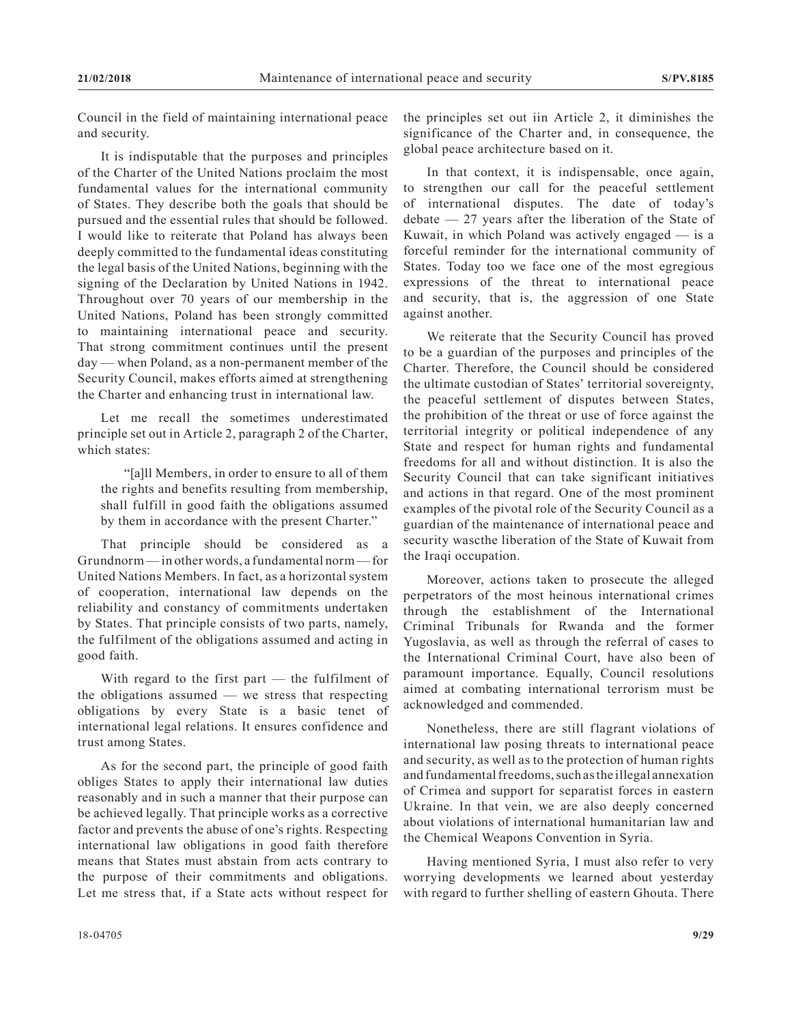Council in the field of maintaining international peace and security.

It is indisputable that the purposes and principles of the Charter of the United Nations proclaim the most fundamental values for the international community of States. They describe both the goals that should be pursued and the essential rules that should be followed. I would like to reiterate that Poland has always been deeply committed to the fundamental ideas constituting the legal basis of the United Nations, beginning with the signing of the Declaration by United Nations in 1942. Throughout over 70 years of our membership in the United Nations, Poland has been strongly committed to maintaining international peace and security. That strong commitment continues until the present day — when Poland, as a non-permanent member of the Security Council, makes efforts aimed at strengthening the Charter and enhancing trust in international law.

Let me recall the sometimes underestimated principle set out in Article 2, paragraph 2 of the Charter, which states:

"[a]ll Members, in order to ensure to all of them the rights and benefits resulting from membership, shall fulfill in good faith the obligations assumed by them in accordance with the present Charter."

That principle should be considered as a Grundnorm— in other words, a fundamental norm— for United Nations Members. In fact, as a horizontal system of cooperation, international law depends on the reliability and constancy of commitments undertaken by States. That principle consists of two parts, namely, the fulfilment of the obligations assumed and acting in good faith.

With regard to the first part — the fulfilment of the obligations assumed — we stress that respecting obligations by every State is a basic tenet of international legal relations. It ensures confidence and trust among States.

As for the second part, the principle of good faith obliges States to apply their international law duties reasonably and in such a manner that their purpose can be achieved legally. That principle works as a corrective factor and prevents the abuse of one's rights. Respecting international law obligations in good faith therefore means that States must abstain from acts contrary to the purpose of their commitments and obligations. Let me stress that, if a State acts without respect for the principles set out iin Article 2, it diminishes the significance of the Charter and, in consequence, the global peace architecture based on it.

In that context, it is indispensable, once again, to strengthen our call for the peaceful settlement of international disputes. The date of today's debate — 27 years after the liberation of the State of Kuwait, in which Poland was actively engaged — is a forceful reminder for the international community of States. Today too we face one of the most egregious expressions of the threat to international peace and security, that is, the aggression of one State against another.

We reiterate that the Security Council has proved to be a guardian of the purposes and principles of the Charter. Therefore, the Council should be considered the ultimate custodian of States' territorial sovereignty, the peaceful settlement of disputes between States, the prohibition of the threat or use of force against the territorial integrity or political independence of any State and respect for human rights and fundamental freedoms for all and without distinction. It is also the Security Council that can take significant initiatives and actions in that regard. One of the most prominent examples of the pivotal role of the Security Council as a guardian of the maintenance of international peace and security wascthe liberation of the State of Kuwait from the Iraqi occupation.

Moreover, actions taken to prosecute the alleged perpetrators of the most heinous international crimes through the establishment of the International Criminal Tribunals for Rwanda and the former Yugoslavia, as well as through the referral of cases to the International Criminal Court, have also been of paramount importance. Equally, Council resolutions aimed at combating international terrorism must be acknowledged and commended.

Nonetheless, there are still flagrant violations of international law posing threats to international peace and security, as well as to the protection of human rights and fundamental freedoms, such as the illegal annexation of Crimea and support for separatist forces in eastern Ukraine. In that vein, we are also deeply concerned about violations of international humanitarian law and the Chemical Weapons Convention in Syria.

Having mentioned Syria, I must also refer to very worrying developments we learned about yesterday with regard to further shelling of eastern Ghouta. There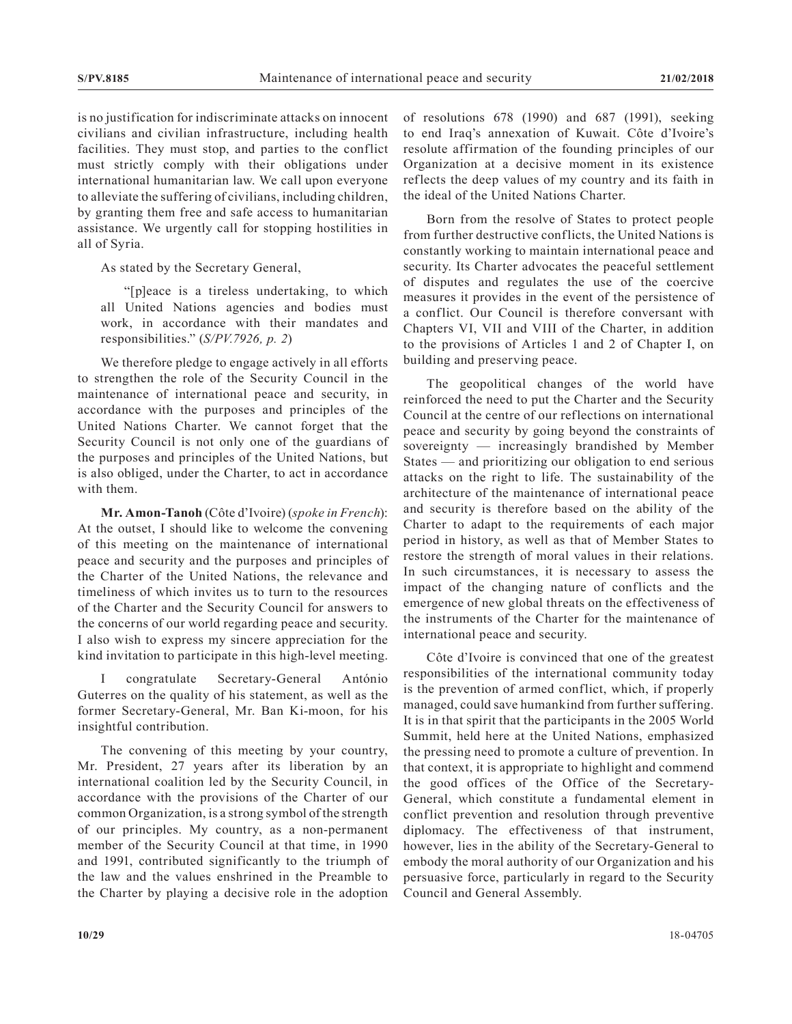is no justification for indiscriminate attacks on innocent civilians and civilian infrastructure, including health facilities. They must stop, and parties to the conflict must strictly comply with their obligations under international humanitarian law. We call upon everyone to alleviate the suffering of civilians, including children, by granting them free and safe access to humanitarian assistance. We urgently call for stopping hostilities in all of Syria.

As stated by the Secretary General,

"[p]eace is a tireless undertaking, to which all United Nations agencies and bodies must work, in accordance with their mandates and responsibilities." (*S/PV.7926, p. 2*)

We therefore pledge to engage actively in all efforts to strengthen the role of the Security Council in the maintenance of international peace and security, in accordance with the purposes and principles of the United Nations Charter. We cannot forget that the Security Council is not only one of the guardians of the purposes and principles of the United Nations, but is also obliged, under the Charter, to act in accordance with them.

**Mr. Amon-Tanoh** (Côte d'Ivoire) (*spoke in French*): At the outset, I should like to welcome the convening of this meeting on the maintenance of international peace and security and the purposes and principles of the Charter of the United Nations, the relevance and timeliness of which invites us to turn to the resources of the Charter and the Security Council for answers to the concerns of our world regarding peace and security. I also wish to express my sincere appreciation for the kind invitation to participate in this high-level meeting.

I congratulate Secretary-General António Guterres on the quality of his statement, as well as the former Secretary-General, Mr. Ban Ki-moon, for his insightful contribution.

The convening of this meeting by your country, Mr. President, 27 years after its liberation by an international coalition led by the Security Council, in accordance with the provisions of the Charter of our common Organization, is a strong symbol of the strength of our principles. My country, as a non-permanent member of the Security Council at that time, in 1990 and 1991, contributed significantly to the triumph of the law and the values enshrined in the Preamble to the Charter by playing a decisive role in the adoption

of resolutions 678 (1990) and 687 (1991), seeking to end Iraq's annexation of Kuwait. Côte d'Ivoire's resolute affirmation of the founding principles of our Organization at a decisive moment in its existence reflects the deep values of my country and its faith in the ideal of the United Nations Charter.

Born from the resolve of States to protect people from further destructive conflicts, the United Nations is constantly working to maintain international peace and security. Its Charter advocates the peaceful settlement of disputes and regulates the use of the coercive measures it provides in the event of the persistence of a conflict. Our Council is therefore conversant with Chapters VI, VII and VIII of the Charter, in addition to the provisions of Articles 1 and 2 of Chapter I, on building and preserving peace.

The geopolitical changes of the world have reinforced the need to put the Charter and the Security Council at the centre of our reflections on international peace and security by going beyond the constraints of sovereignty — increasingly brandished by Member States — and prioritizing our obligation to end serious attacks on the right to life. The sustainability of the architecture of the maintenance of international peace and security is therefore based on the ability of the Charter to adapt to the requirements of each major period in history, as well as that of Member States to restore the strength of moral values in their relations. In such circumstances, it is necessary to assess the impact of the changing nature of conflicts and the emergence of new global threats on the effectiveness of the instruments of the Charter for the maintenance of international peace and security.

Côte d'Ivoire is convinced that one of the greatest responsibilities of the international community today is the prevention of armed conflict, which, if properly managed, could save humankind from further suffering. It is in that spirit that the participants in the 2005 World Summit, held here at the United Nations, emphasized the pressing need to promote a culture of prevention. In that context, it is appropriate to highlight and commend the good offices of the Office of the Secretary-General, which constitute a fundamental element in conflict prevention and resolution through preventive diplomacy. The effectiveness of that instrument, however, lies in the ability of the Secretary-General to embody the moral authority of our Organization and his persuasive force, particularly in regard to the Security Council and General Assembly.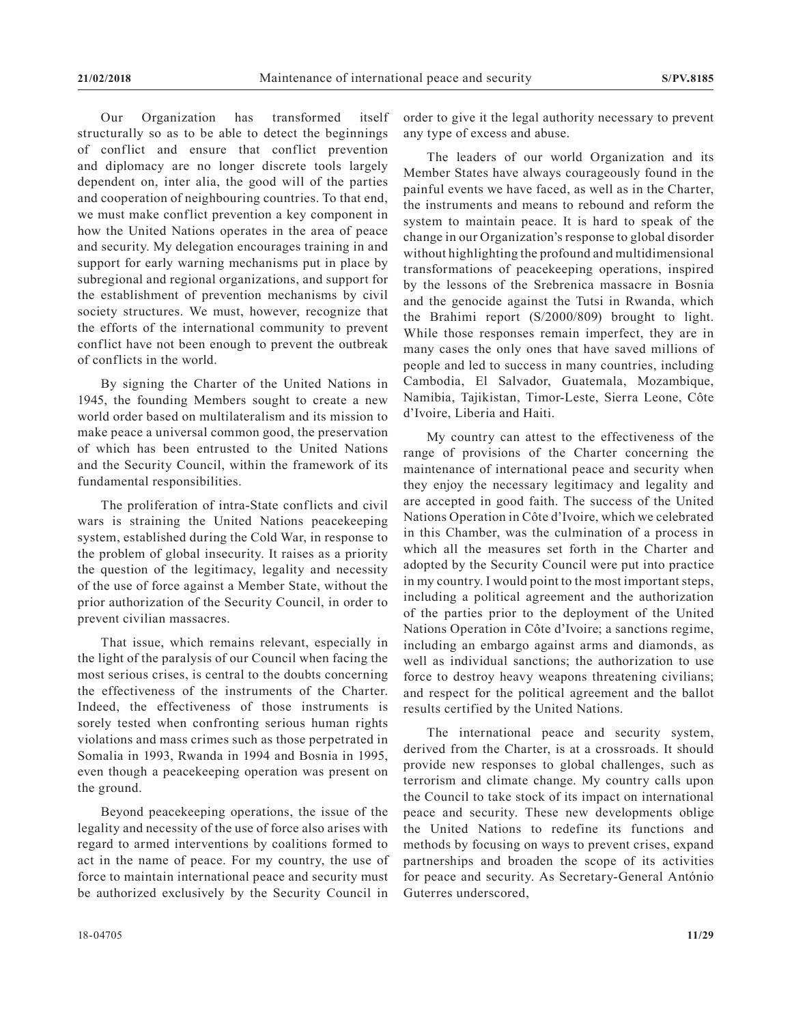Our Organization has transformed itself structurally so as to be able to detect the beginnings of conflict and ensure that conflict prevention and diplomacy are no longer discrete tools largely dependent on, inter alia, the good will of the parties and cooperation of neighbouring countries. To that end, we must make conflict prevention a key component in how the United Nations operates in the area of peace and security. My delegation encourages training in and support for early warning mechanisms put in place by subregional and regional organizations, and support for the establishment of prevention mechanisms by civil society structures. We must, however, recognize that the efforts of the international community to prevent conflict have not been enough to prevent the outbreak of conflicts in the world.

By signing the Charter of the United Nations in 1945, the founding Members sought to create a new world order based on multilateralism and its mission to make peace a universal common good, the preservation of which has been entrusted to the United Nations and the Security Council, within the framework of its fundamental responsibilities.

The proliferation of intra-State conflicts and civil wars is straining the United Nations peacekeeping system, established during the Cold War, in response to the problem of global insecurity. It raises as a priority the question of the legitimacy, legality and necessity of the use of force against a Member State, without the prior authorization of the Security Council, in order to prevent civilian massacres.

That issue, which remains relevant, especially in the light of the paralysis of our Council when facing the most serious crises, is central to the doubts concerning the effectiveness of the instruments of the Charter. Indeed, the effectiveness of those instruments is sorely tested when confronting serious human rights violations and mass crimes such as those perpetrated in Somalia in 1993, Rwanda in 1994 and Bosnia in 1995, even though a peacekeeping operation was present on the ground.

Beyond peacekeeping operations, the issue of the legality and necessity of the use of force also arises with regard to armed interventions by coalitions formed to act in the name of peace. For my country, the use of force to maintain international peace and security must be authorized exclusively by the Security Council in

order to give it the legal authority necessary to prevent any type of excess and abuse.

The leaders of our world Organization and its Member States have always courageously found in the painful events we have faced, as well as in the Charter, the instruments and means to rebound and reform the system to maintain peace. It is hard to speak of the change in our Organization's response to global disorder without highlighting the profound and multidimensional transformations of peacekeeping operations, inspired by the lessons of the Srebrenica massacre in Bosnia and the genocide against the Tutsi in Rwanda, which the Brahimi report (S/2000/809) brought to light. While those responses remain imperfect, they are in many cases the only ones that have saved millions of people and led to success in many countries, including Cambodia, El Salvador, Guatemala, Mozambique, Namibia, Tajikistan, Timor-Leste, Sierra Leone, Côte d'Ivoire, Liberia and Haiti.

My country can attest to the effectiveness of the range of provisions of the Charter concerning the maintenance of international peace and security when they enjoy the necessary legitimacy and legality and are accepted in good faith. The success of the United Nations Operation in Côte d'Ivoire, which we celebrated in this Chamber, was the culmination of a process in which all the measures set forth in the Charter and adopted by the Security Council were put into practice in my country. I would point to the most important steps, including a political agreement and the authorization of the parties prior to the deployment of the United Nations Operation in Côte d'Ivoire; a sanctions regime, including an embargo against arms and diamonds, as well as individual sanctions; the authorization to use force to destroy heavy weapons threatening civilians; and respect for the political agreement and the ballot results certified by the United Nations.

The international peace and security system, derived from the Charter, is at a crossroads. It should provide new responses to global challenges, such as terrorism and climate change. My country calls upon the Council to take stock of its impact on international peace and security. These new developments oblige the United Nations to redefine its functions and methods by focusing on ways to prevent crises, expand partnerships and broaden the scope of its activities for peace and security. As Secretary-General António Guterres underscored,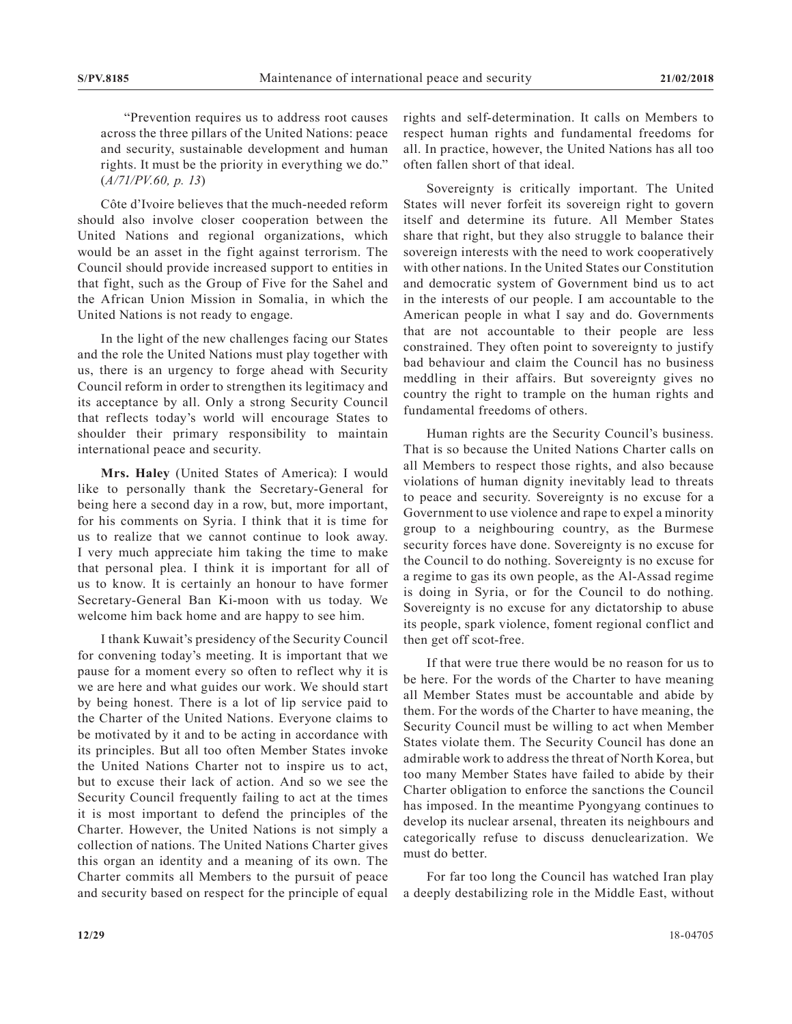"Prevention requires us to address root causes across the three pillars of the United Nations: peace and security, sustainable development and human rights. It must be the priority in everything we do." (*A/71/PV.60, p. 13*)

Côte d'Ivoire believes that the much-needed reform should also involve closer cooperation between the United Nations and regional organizations, which would be an asset in the fight against terrorism. The Council should provide increased support to entities in that fight, such as the Group of Five for the Sahel and the African Union Mission in Somalia, in which the United Nations is not ready to engage.

In the light of the new challenges facing our States and the role the United Nations must play together with us, there is an urgency to forge ahead with Security Council reform in order to strengthen its legitimacy and its acceptance by all. Only a strong Security Council that reflects today's world will encourage States to shoulder their primary responsibility to maintain international peace and security.

**Mrs. Haley** (United States of America): I would like to personally thank the Secretary-General for being here a second day in a row, but, more important, for his comments on Syria. I think that it is time for us to realize that we cannot continue to look away. I very much appreciate him taking the time to make that personal plea. I think it is important for all of us to know. It is certainly an honour to have former Secretary-General Ban Ki-moon with us today. We welcome him back home and are happy to see him.

I thank Kuwait's presidency of the Security Council for convening today's meeting. It is important that we pause for a moment every so often to reflect why it is we are here and what guides our work. We should start by being honest. There is a lot of lip service paid to the Charter of the United Nations. Everyone claims to be motivated by it and to be acting in accordance with its principles. But all too often Member States invoke the United Nations Charter not to inspire us to act, but to excuse their lack of action. And so we see the Security Council frequently failing to act at the times it is most important to defend the principles of the Charter. However, the United Nations is not simply a collection of nations. The United Nations Charter gives this organ an identity and a meaning of its own. The Charter commits all Members to the pursuit of peace and security based on respect for the principle of equal

rights and self-determination. It calls on Members to respect human rights and fundamental freedoms for all. In practice, however, the United Nations has all too often fallen short of that ideal.

Sovereignty is critically important. The United States will never forfeit its sovereign right to govern itself and determine its future. All Member States share that right, but they also struggle to balance their sovereign interests with the need to work cooperatively with other nations. In the United States our Constitution and democratic system of Government bind us to act in the interests of our people. I am accountable to the American people in what I say and do. Governments that are not accountable to their people are less constrained. They often point to sovereignty to justify bad behaviour and claim the Council has no business meddling in their affairs. But sovereignty gives no country the right to trample on the human rights and fundamental freedoms of others.

Human rights are the Security Council's business. That is so because the United Nations Charter calls on all Members to respect those rights, and also because violations of human dignity inevitably lead to threats to peace and security. Sovereignty is no excuse for a Government to use violence and rape to expel a minority group to a neighbouring country, as the Burmese security forces have done. Sovereignty is no excuse for the Council to do nothing. Sovereignty is no excuse for a regime to gas its own people, as the Al-Assad regime is doing in Syria, or for the Council to do nothing. Sovereignty is no excuse for any dictatorship to abuse its people, spark violence, foment regional conflict and then get off scot-free.

If that were true there would be no reason for us to be here. For the words of the Charter to have meaning all Member States must be accountable and abide by them. For the words of the Charter to have meaning, the Security Council must be willing to act when Member States violate them. The Security Council has done an admirable work to address the threat of North Korea, but too many Member States have failed to abide by their Charter obligation to enforce the sanctions the Council has imposed. In the meantime Pyongyang continues to develop its nuclear arsenal, threaten its neighbours and categorically refuse to discuss denuclearization. We must do better.

For far too long the Council has watched Iran play a deeply destabilizing role in the Middle East, without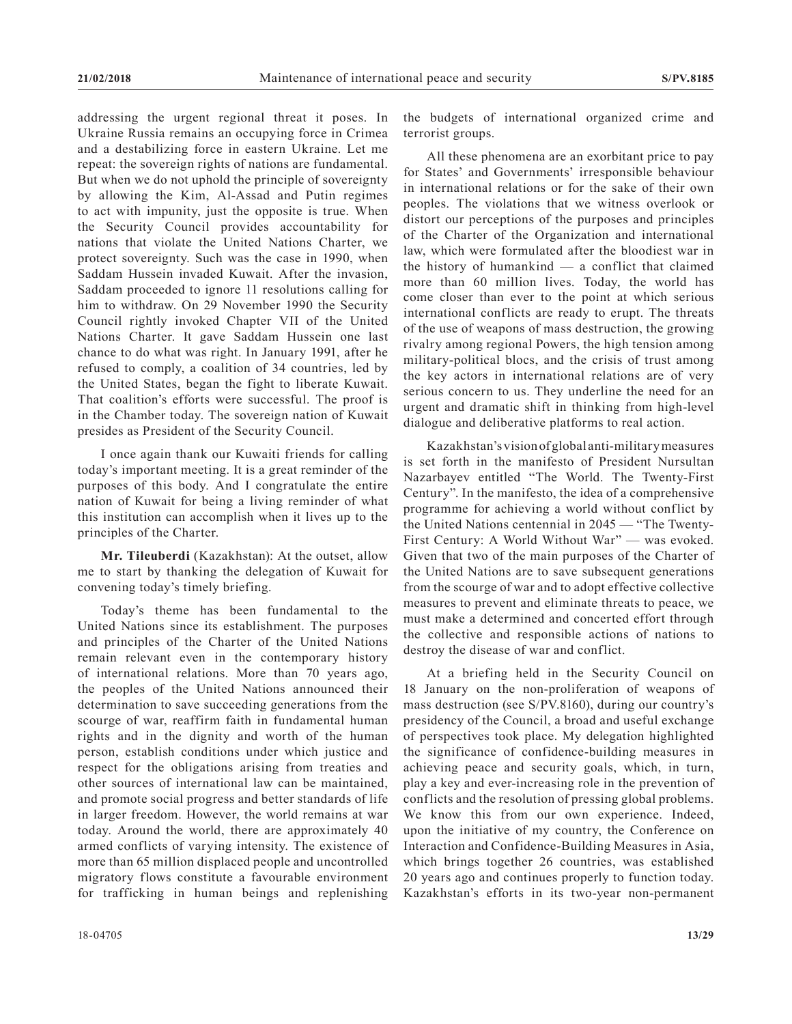addressing the urgent regional threat it poses. In Ukraine Russia remains an occupying force in Crimea and a destabilizing force in eastern Ukraine. Let me repeat: the sovereign rights of nations are fundamental. But when we do not uphold the principle of sovereignty by allowing the Kim, Al-Assad and Putin regimes to act with impunity, just the opposite is true. When the Security Council provides accountability for nations that violate the United Nations Charter, we protect sovereignty. Such was the case in 1990, when Saddam Hussein invaded Kuwait. After the invasion, Saddam proceeded to ignore 11 resolutions calling for him to withdraw. On 29 November 1990 the Security Council rightly invoked Chapter VII of the United Nations Charter. It gave Saddam Hussein one last chance to do what was right. In January 1991, after he refused to comply, a coalition of 34 countries, led by the United States, began the fight to liberate Kuwait. That coalition's efforts were successful. The proof is in the Chamber today. The sovereign nation of Kuwait presides as President of the Security Council.

I once again thank our Kuwaiti friends for calling today's important meeting. It is a great reminder of the purposes of this body. And I congratulate the entire nation of Kuwait for being a living reminder of what this institution can accomplish when it lives up to the principles of the Charter.

**Mr. Tileuberdi** (Kazakhstan): At the outset, allow me to start by thanking the delegation of Kuwait for convening today's timely briefing.

Today's theme has been fundamental to the United Nations since its establishment. The purposes and principles of the Charter of the United Nations remain relevant even in the contemporary history of international relations. More than 70 years ago, the peoples of the United Nations announced their determination to save succeeding generations from the scourge of war, reaffirm faith in fundamental human rights and in the dignity and worth of the human person, establish conditions under which justice and respect for the obligations arising from treaties and other sources of international law can be maintained, and promote social progress and better standards of life in larger freedom. However, the world remains at war today. Around the world, there are approximately 40 armed conflicts of varying intensity. The existence of more than 65 million displaced people and uncontrolled migratory flows constitute a favourable environment for trafficking in human beings and replenishing

the budgets of international organized crime and terrorist groups.

All these phenomena are an exorbitant price to pay for States' and Governments' irresponsible behaviour in international relations or for the sake of their own peoples. The violations that we witness overlook or distort our perceptions of the purposes and principles of the Charter of the Organization and international law, which were formulated after the bloodiest war in the history of humankind  $-$  a conflict that claimed more than 60 million lives. Today, the world has come closer than ever to the point at which serious international conflicts are ready to erupt. The threats of the use of weapons of mass destruction, the growing rivalry among regional Powers, the high tension among military-political blocs, and the crisis of trust among the key actors in international relations are of very serious concern to us. They underline the need for an urgent and dramatic shift in thinking from high-level dialogue and deliberative platforms to real action.

Kazakhstan's vision of global anti-military measures is set forth in the manifesto of President Nursultan Nazarbayev entitled "The World. The Twenty-First Century". In the manifesto, the idea of a comprehensive programme for achieving a world without conflict by the United Nations centennial in 2045 — "The Twenty-First Century: A World Without War" — was evoked. Given that two of the main purposes of the Charter of the United Nations are to save subsequent generations from the scourge of war and to adopt effective collective measures to prevent and eliminate threats to peace, we must make a determined and concerted effort through the collective and responsible actions of nations to destroy the disease of war and conflict.

At a briefing held in the Security Council on 18 January on the non-proliferation of weapons of mass destruction (see S/PV.8160), during our country's presidency of the Council, a broad and useful exchange of perspectives took place. My delegation highlighted the significance of confidence-building measures in achieving peace and security goals, which, in turn, play a key and ever-increasing role in the prevention of conflicts and the resolution of pressing global problems. We know this from our own experience. Indeed, upon the initiative of my country, the Conference on Interaction and Confidence-Building Measures in Asia, which brings together 26 countries, was established 20 years ago and continues properly to function today. Kazakhstan's efforts in its two-year non-permanent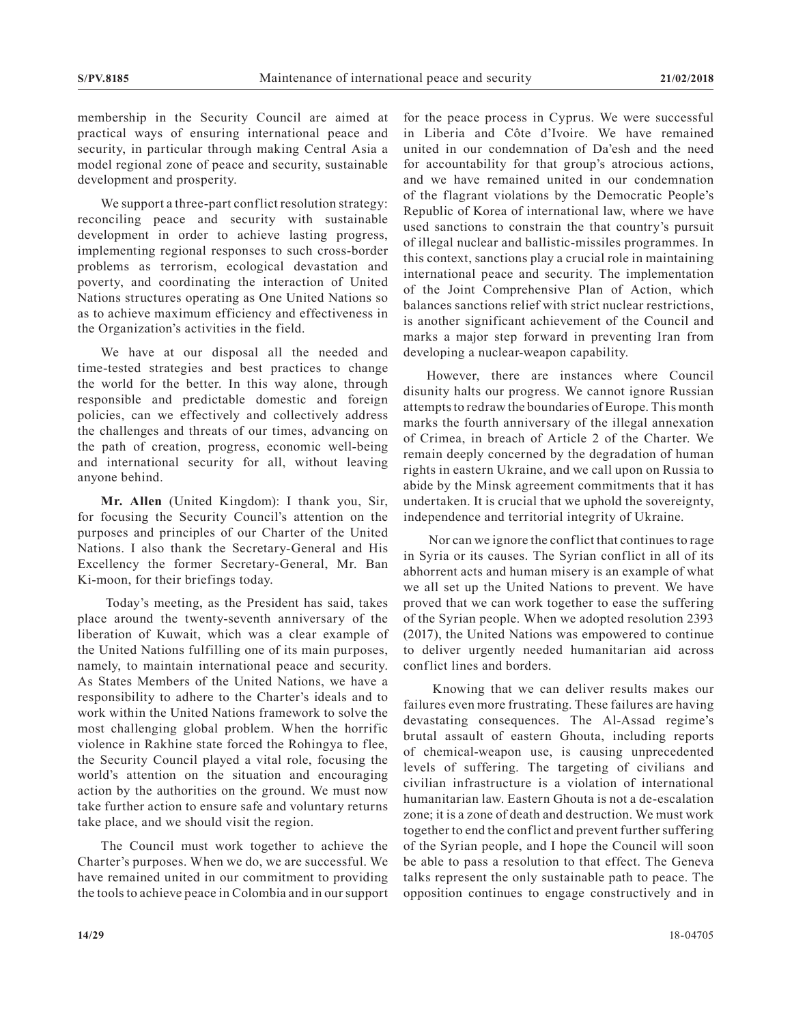membership in the Security Council are aimed at practical ways of ensuring international peace and security, in particular through making Central Asia a model regional zone of peace and security, sustainable development and prosperity.

We support a three-part conflict resolution strategy: reconciling peace and security with sustainable development in order to achieve lasting progress, implementing regional responses to such cross-border problems as terrorism, ecological devastation and poverty, and coordinating the interaction of United Nations structures operating as One United Nations so as to achieve maximum efficiency and effectiveness in the Organization's activities in the field.

We have at our disposal all the needed and time-tested strategies and best practices to change the world for the better. In this way alone, through responsible and predictable domestic and foreign policies, can we effectively and collectively address the challenges and threats of our times, advancing on the path of creation, progress, economic well-being and international security for all, without leaving anyone behind.

**Mr. Allen** (United Kingdom): I thank you, Sir, for focusing the Security Council's attention on the purposes and principles of our Charter of the United Nations. I also thank the Secretary-General and His Excellency the former Secretary-General, Mr. Ban Ki-moon, for their briefings today.

 Today's meeting, as the President has said, takes place around the twenty-seventh anniversary of the liberation of Kuwait, which was a clear example of the United Nations fulfilling one of its main purposes, namely, to maintain international peace and security. As States Members of the United Nations, we have a responsibility to adhere to the Charter's ideals and to work within the United Nations framework to solve the most challenging global problem. When the horrific violence in Rakhine state forced the Rohingya to flee, the Security Council played a vital role, focusing the world's attention on the situation and encouraging action by the authorities on the ground. We must now take further action to ensure safe and voluntary returns take place, and we should visit the region.

The Council must work together to achieve the Charter's purposes. When we do, we are successful. We have remained united in our commitment to providing the tools to achieve peace in Colombia and in our support

for the peace process in Cyprus. We were successful in Liberia and Côte d'Ivoire. We have remained united in our condemnation of Da'esh and the need for accountability for that group's atrocious actions, and we have remained united in our condemnation of the flagrant violations by the Democratic People's Republic of Korea of international law, where we have used sanctions to constrain the that country's pursuit of illegal nuclear and ballistic-missiles programmes. In this context, sanctions play a crucial role in maintaining international peace and security. The implementation of the Joint Comprehensive Plan of Action, which balances sanctions relief with strict nuclear restrictions, is another significant achievement of the Council and marks a major step forward in preventing Iran from developing a nuclear-weapon capability.

However, there are instances where Council disunity halts our progress. We cannot ignore Russian attempts to redraw the boundaries of Europe. This month marks the fourth anniversary of the illegal annexation of Crimea, in breach of Article 2 of the Charter. We remain deeply concerned by the degradation of human rights in eastern Ukraine, and we call upon on Russia to abide by the Minsk agreement commitments that it has undertaken. It is crucial that we uphold the sovereignty, independence and territorial integrity of Ukraine.

 Nor can we ignore the conflict that continues to rage in Syria or its causes. The Syrian conflict in all of its abhorrent acts and human misery is an example of what we all set up the United Nations to prevent. We have proved that we can work together to ease the suffering of the Syrian people. When we adopted resolution 2393 (2017), the United Nations was empowered to continue to deliver urgently needed humanitarian aid across conflict lines and borders.

 Knowing that we can deliver results makes our failures even more frustrating. These failures are having devastating consequences. The Al-Assad regime's brutal assault of eastern Ghouta, including reports of chemical-weapon use, is causing unprecedented levels of suffering. The targeting of civilians and civilian infrastructure is a violation of international humanitarian law. Eastern Ghouta is not a de-escalation zone; it is a zone of death and destruction. We must work together to end the conflict and prevent further suffering of the Syrian people, and I hope the Council will soon be able to pass a resolution to that effect. The Geneva talks represent the only sustainable path to peace. The opposition continues to engage constructively and in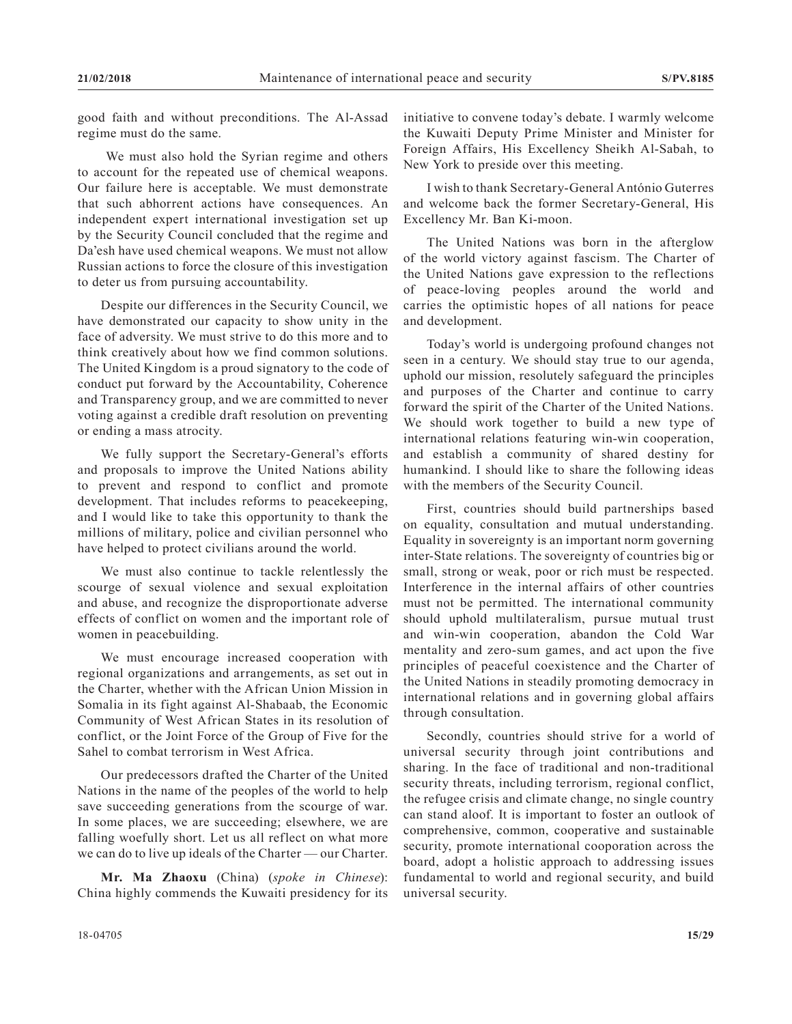good faith and without preconditions. The Al-Assad regime must do the same.

 We must also hold the Syrian regime and others to account for the repeated use of chemical weapons. Our failure here is acceptable. We must demonstrate that such abhorrent actions have consequences. An independent expert international investigation set up by the Security Council concluded that the regime and Da'esh have used chemical weapons. We must not allow Russian actions to force the closure of this investigation to deter us from pursuing accountability.

Despite our differences in the Security Council, we have demonstrated our capacity to show unity in the face of adversity. We must strive to do this more and to think creatively about how we find common solutions. The United Kingdom is a proud signatory to the code of conduct put forward by the Accountability, Coherence and Transparency group, and we are committed to never voting against a credible draft resolution on preventing or ending a mass atrocity.

We fully support the Secretary-General's efforts and proposals to improve the United Nations ability to prevent and respond to conflict and promote development. That includes reforms to peacekeeping, and I would like to take this opportunity to thank the millions of military, police and civilian personnel who have helped to protect civilians around the world.

We must also continue to tackle relentlessly the scourge of sexual violence and sexual exploitation and abuse, and recognize the disproportionate adverse effects of conflict on women and the important role of women in peacebuilding.

We must encourage increased cooperation with regional organizations and arrangements, as set out in the Charter, whether with the African Union Mission in Somalia in its fight against Al-Shabaab, the Economic Community of West African States in its resolution of conflict, or the Joint Force of the Group of Five for the Sahel to combat terrorism in West Africa.

Our predecessors drafted the Charter of the United Nations in the name of the peoples of the world to help save succeeding generations from the scourge of war. In some places, we are succeeding; elsewhere, we are falling woefully short. Let us all reflect on what more we can do to live up ideals of the Charter — our Charter.

**Mr. Ma Zhaoxu** (China) (*spoke in Chinese*): China highly commends the Kuwaiti presidency for its initiative to convene today's debate. I warmly welcome the Kuwaiti Deputy Prime Minister and Minister for Foreign Affairs, His Excellency Sheikh Al-Sabah, to New York to preside over this meeting.

I wish to thank Secretary-General António Guterres and welcome back the former Secretary-General, His Excellency Mr. Ban Ki-moon.

The United Nations was born in the afterglow of the world victory against fascism. The Charter of the United Nations gave expression to the reflections of peace-loving peoples around the world and carries the optimistic hopes of all nations for peace and development.

Today's world is undergoing profound changes not seen in a century. We should stay true to our agenda, uphold our mission, resolutely safeguard the principles and purposes of the Charter and continue to carry forward the spirit of the Charter of the United Nations. We should work together to build a new type of international relations featuring win-win cooperation, and establish a community of shared destiny for humankind. I should like to share the following ideas with the members of the Security Council.

First, countries should build partnerships based on equality, consultation and mutual understanding. Equality in sovereignty is an important norm governing inter-State relations. The sovereignty of countries big or small, strong or weak, poor or rich must be respected. Interference in the internal affairs of other countries must not be permitted. The international community should uphold multilateralism, pursue mutual trust and win-win cooperation, abandon the Cold War mentality and zero-sum games, and act upon the five principles of peaceful coexistence and the Charter of the United Nations in steadily promoting democracy in international relations and in governing global affairs through consultation.

Secondly, countries should strive for a world of universal security through joint contributions and sharing. In the face of traditional and non-traditional security threats, including terrorism, regional conflict, the refugee crisis and climate change, no single country can stand aloof. It is important to foster an outlook of comprehensive, common, cooperative and sustainable security, promote international cooporation across the board, adopt a holistic approach to addressing issues fundamental to world and regional security, and build universal security.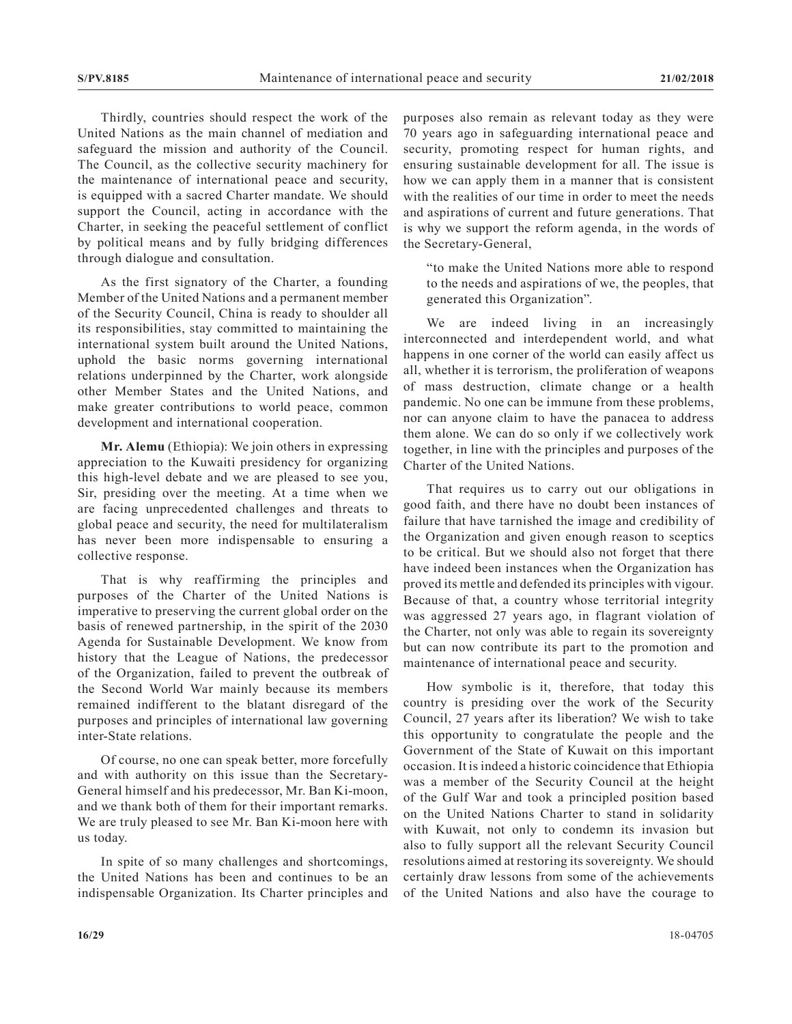Thirdly, countries should respect the work of the United Nations as the main channel of mediation and safeguard the mission and authority of the Council. The Council, as the collective security machinery for the maintenance of international peace and security, is equipped with a sacred Charter mandate. We should support the Council, acting in accordance with the Charter, in seeking the peaceful settlement of conflict by political means and by fully bridging differences through dialogue and consultation.

As the first signatory of the Charter, a founding Member of the United Nations and a permanent member of the Security Council, China is ready to shoulder all its responsibilities, stay committed to maintaining the international system built around the United Nations, uphold the basic norms governing international relations underpinned by the Charter, work alongside other Member States and the United Nations, and make greater contributions to world peace, common development and international cooperation.

**Mr. Alemu** (Ethiopia): We join others in expressing appreciation to the Kuwaiti presidency for organizing this high-level debate and we are pleased to see you, Sir, presiding over the meeting. At a time when we are facing unprecedented challenges and threats to global peace and security, the need for multilateralism has never been more indispensable to ensuring a collective response.

That is why reaffirming the principles and purposes of the Charter of the United Nations is imperative to preserving the current global order on the basis of renewed partnership, in the spirit of the 2030 Agenda for Sustainable Development. We know from history that the League of Nations, the predecessor of the Organization, failed to prevent the outbreak of the Second World War mainly because its members remained indifferent to the blatant disregard of the purposes and principles of international law governing inter-State relations.

Of course, no one can speak better, more forcefully and with authority on this issue than the Secretary-General himself and his predecessor, Mr. Ban Ki-moon, and we thank both of them for their important remarks. We are truly pleased to see Mr. Ban Ki-moon here with us today.

In spite of so many challenges and shortcomings, the United Nations has been and continues to be an indispensable Organization. Its Charter principles and purposes also remain as relevant today as they were 70 years ago in safeguarding international peace and security, promoting respect for human rights, and ensuring sustainable development for all. The issue is how we can apply them in a manner that is consistent with the realities of our time in order to meet the needs and aspirations of current and future generations. That is why we support the reform agenda, in the words of the Secretary-General,

"to make the United Nations more able to respond to the needs and aspirations of we, the peoples, that generated this Organization".

We are indeed living in an increasingly interconnected and interdependent world, and what happens in one corner of the world can easily affect us all, whether it is terrorism, the proliferation of weapons of mass destruction, climate change or a health pandemic. No one can be immune from these problems, nor can anyone claim to have the panacea to address them alone. We can do so only if we collectively work together, in line with the principles and purposes of the Charter of the United Nations.

That requires us to carry out our obligations in good faith, and there have no doubt been instances of failure that have tarnished the image and credibility of the Organization and given enough reason to sceptics to be critical. But we should also not forget that there have indeed been instances when the Organization has proved its mettle and defended its principles with vigour. Because of that, a country whose territorial integrity was aggressed 27 years ago, in flagrant violation of the Charter, not only was able to regain its sovereignty but can now contribute its part to the promotion and maintenance of international peace and security.

How symbolic is it, therefore, that today this country is presiding over the work of the Security Council, 27 years after its liberation? We wish to take this opportunity to congratulate the people and the Government of the State of Kuwait on this important occasion. It is indeed a historic coincidence that Ethiopia was a member of the Security Council at the height of the Gulf War and took a principled position based on the United Nations Charter to stand in solidarity with Kuwait, not only to condemn its invasion but also to fully support all the relevant Security Council resolutions aimed at restoring its sovereignty. We should certainly draw lessons from some of the achievements of the United Nations and also have the courage to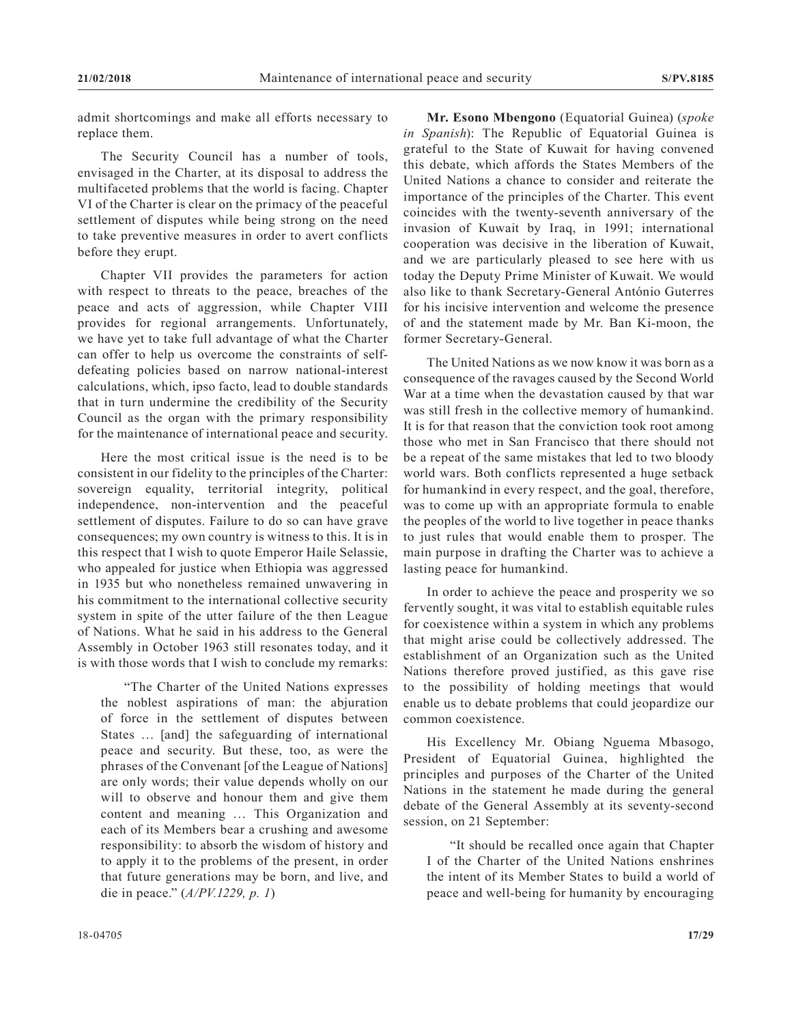admit shortcomings and make all efforts necessary to replace them.

The Security Council has a number of tools, envisaged in the Charter, at its disposal to address the multifaceted problems that the world is facing. Chapter VI of the Charter is clear on the primacy of the peaceful settlement of disputes while being strong on the need to take preventive measures in order to avert conflicts before they erupt.

Chapter VII provides the parameters for action with respect to threats to the peace, breaches of the peace and acts of aggression, while Chapter VIII provides for regional arrangements. Unfortunately, we have yet to take full advantage of what the Charter can offer to help us overcome the constraints of selfdefeating policies based on narrow national-interest calculations, which, ipso facto, lead to double standards that in turn undermine the credibility of the Security Council as the organ with the primary responsibility for the maintenance of international peace and security.

Here the most critical issue is the need is to be consistent in our fidelity to the principles of the Charter: sovereign equality, territorial integrity, political independence, non-intervention and the peaceful settlement of disputes. Failure to do so can have grave consequences; my own country is witness to this. It is in this respect that I wish to quote Emperor Haile Selassie, who appealed for justice when Ethiopia was aggressed in 1935 but who nonetheless remained unwavering in his commitment to the international collective security system in spite of the utter failure of the then League of Nations. What he said in his address to the General Assembly in October 1963 still resonates today, and it is with those words that I wish to conclude my remarks:

"The Charter of the United Nations expresses the noblest aspirations of man: the abjuration of force in the settlement of disputes between States … [and] the safeguarding of international peace and security. But these, too, as were the phrases of the Convenant [of the League of Nations] are only words; their value depends wholly on our will to observe and honour them and give them content and meaning … This Organization and each of its Members bear a crushing and awesome responsibility: to absorb the wisdom of history and to apply it to the problems of the present, in order that future generations may be born, and live, and die in peace." (*A/PV.1229, p. 1*)

**Mr. Esono Mbengono** (Equatorial Guinea) (*spoke in Spanish*): The Republic of Equatorial Guinea is grateful to the State of Kuwait for having convened this debate, which affords the States Members of the United Nations a chance to consider and reiterate the importance of the principles of the Charter. This event coincides with the twenty-seventh anniversary of the invasion of Kuwait by Iraq, in 1991; international cooperation was decisive in the liberation of Kuwait, and we are particularly pleased to see here with us today the Deputy Prime Minister of Kuwait. We would also like to thank Secretary-General António Guterres for his incisive intervention and welcome the presence of and the statement made by Mr. Ban Ki-moon, the former Secretary-General.

The United Nations as we now know it was born as a consequence of the ravages caused by the Second World War at a time when the devastation caused by that war was still fresh in the collective memory of humankind. It is for that reason that the conviction took root among those who met in San Francisco that there should not be a repeat of the same mistakes that led to two bloody world wars. Both conflicts represented a huge setback for humankind in every respect, and the goal, therefore, was to come up with an appropriate formula to enable the peoples of the world to live together in peace thanks to just rules that would enable them to prosper. The main purpose in drafting the Charter was to achieve a lasting peace for humankind.

In order to achieve the peace and prosperity we so fervently sought, it was vital to establish equitable rules for coexistence within a system in which any problems that might arise could be collectively addressed. The establishment of an Organization such as the United Nations therefore proved justified, as this gave rise to the possibility of holding meetings that would enable us to debate problems that could jeopardize our common coexistence.

His Excellency Mr. Obiang Nguema Mbasogo, President of Equatorial Guinea, highlighted the principles and purposes of the Charter of the United Nations in the statement he made during the general debate of the General Assembly at its seventy-second session, on 21 September:

"It should be recalled once again that Chapter I of the Charter of the United Nations enshrines the intent of its Member States to build a world of peace and well-being for humanity by encouraging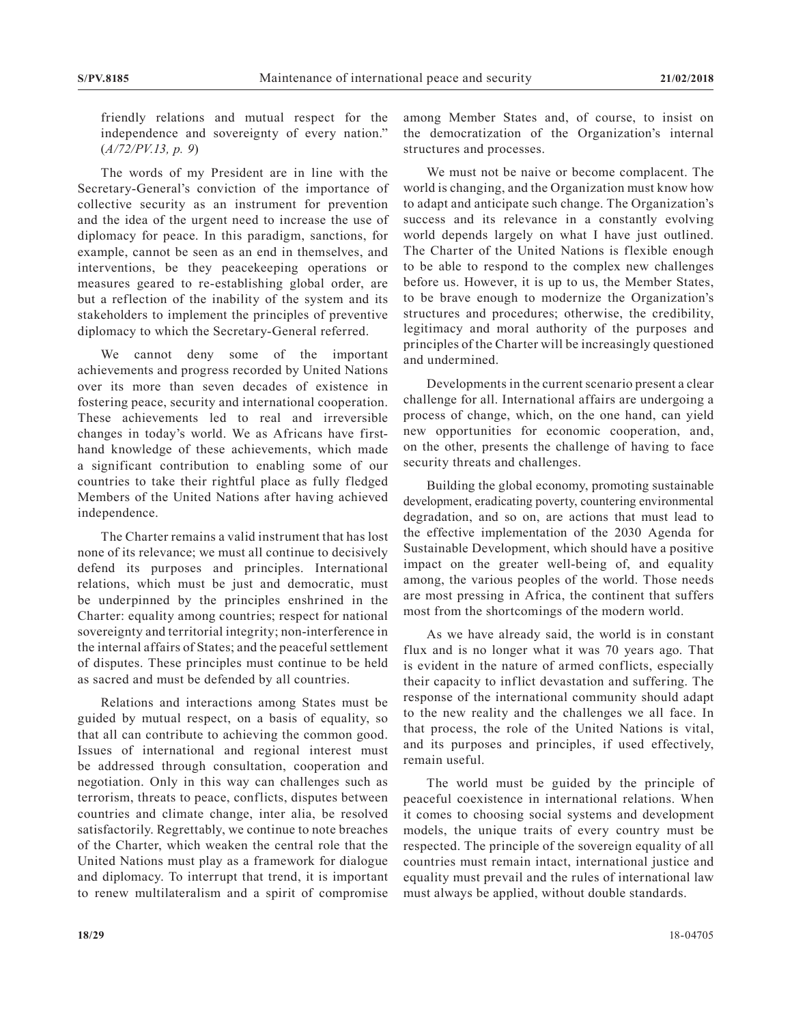friendly relations and mutual respect for the independence and sovereignty of every nation." (*A/72/PV.13, p. 9*)

The words of my President are in line with the Secretary-General's conviction of the importance of collective security as an instrument for prevention and the idea of the urgent need to increase the use of diplomacy for peace. In this paradigm, sanctions, for example, cannot be seen as an end in themselves, and interventions, be they peacekeeping operations or measures geared to re-establishing global order, are but a reflection of the inability of the system and its stakeholders to implement the principles of preventive diplomacy to which the Secretary-General referred.

We cannot deny some of the important achievements and progress recorded by United Nations over its more than seven decades of existence in fostering peace, security and international cooperation. These achievements led to real and irreversible changes in today's world. We as Africans have firsthand knowledge of these achievements, which made a significant contribution to enabling some of our countries to take their rightful place as fully fledged Members of the United Nations after having achieved independence.

The Charter remains a valid instrument that has lost none of its relevance; we must all continue to decisively defend its purposes and principles. International relations, which must be just and democratic, must be underpinned by the principles enshrined in the Charter: equality among countries; respect for national sovereignty and territorial integrity; non-interference in the internal affairs of States; and the peaceful settlement of disputes. These principles must continue to be held as sacred and must be defended by all countries.

Relations and interactions among States must be guided by mutual respect, on a basis of equality, so that all can contribute to achieving the common good. Issues of international and regional interest must be addressed through consultation, cooperation and negotiation. Only in this way can challenges such as terrorism, threats to peace, conflicts, disputes between countries and climate change, inter alia, be resolved satisfactorily. Regrettably, we continue to note breaches of the Charter, which weaken the central role that the United Nations must play as a framework for dialogue and diplomacy. To interrupt that trend, it is important to renew multilateralism and a spirit of compromise

among Member States and, of course, to insist on the democratization of the Organization's internal structures and processes.

We must not be naive or become complacent. The world is changing, and the Organization must know how to adapt and anticipate such change. The Organization's success and its relevance in a constantly evolving world depends largely on what I have just outlined. The Charter of the United Nations is flexible enough to be able to respond to the complex new challenges before us. However, it is up to us, the Member States, to be brave enough to modernize the Organization's structures and procedures; otherwise, the credibility, legitimacy and moral authority of the purposes and principles of the Charter will be increasingly questioned and undermined.

Developments in the current scenario present a clear challenge for all. International affairs are undergoing a process of change, which, on the one hand, can yield new opportunities for economic cooperation, and, on the other, presents the challenge of having to face security threats and challenges.

Building the global economy, promoting sustainable development, eradicating poverty, countering environmental degradation, and so on, are actions that must lead to the effective implementation of the 2030 Agenda for Sustainable Development, which should have a positive impact on the greater well-being of, and equality among, the various peoples of the world. Those needs are most pressing in Africa, the continent that suffers most from the shortcomings of the modern world.

As we have already said, the world is in constant flux and is no longer what it was 70 years ago. That is evident in the nature of armed conflicts, especially their capacity to inflict devastation and suffering. The response of the international community should adapt to the new reality and the challenges we all face. In that process, the role of the United Nations is vital, and its purposes and principles, if used effectively, remain useful.

The world must be guided by the principle of peaceful coexistence in international relations. When it comes to choosing social systems and development models, the unique traits of every country must be respected. The principle of the sovereign equality of all countries must remain intact, international justice and equality must prevail and the rules of international law must always be applied, without double standards.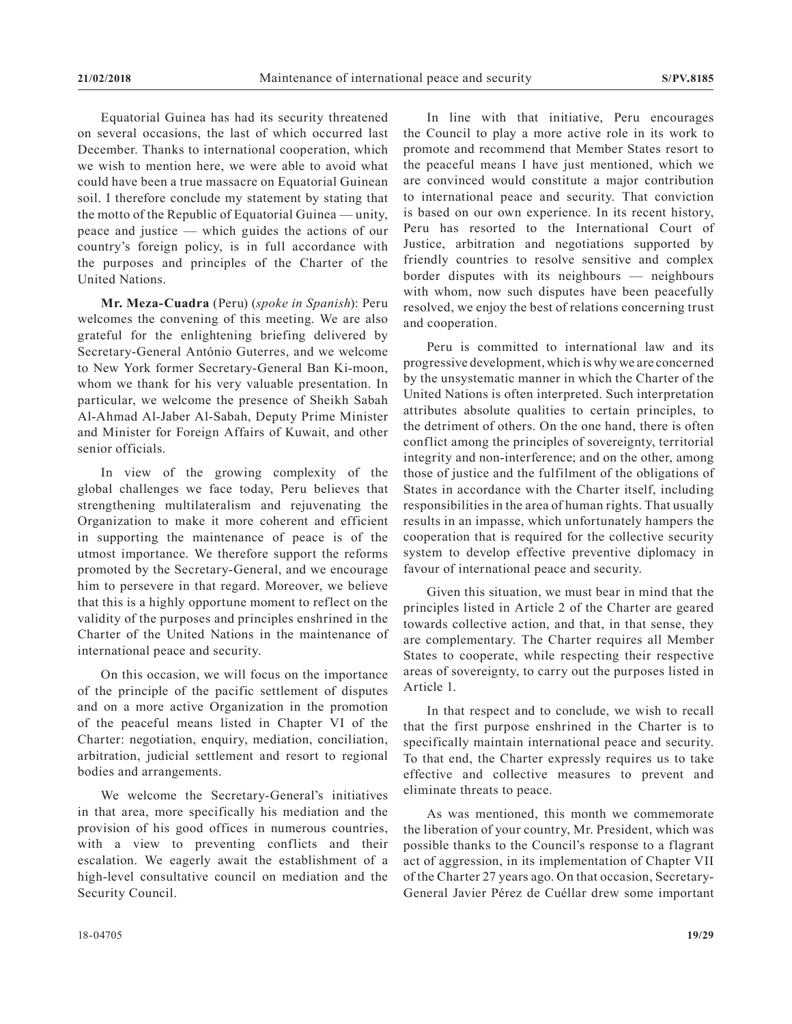Equatorial Guinea has had its security threatened on several occasions, the last of which occurred last December. Thanks to international cooperation, which we wish to mention here, we were able to avoid what could have been a true massacre on Equatorial Guinean soil. I therefore conclude my statement by stating that the motto of the Republic of Equatorial Guinea — unity, peace and justice — which guides the actions of our country's foreign policy, is in full accordance with the purposes and principles of the Charter of the United Nations.

**Mr. Meza-Cuadra** (Peru) (*spoke in Spanish*): Peru welcomes the convening of this meeting. We are also grateful for the enlightening briefing delivered by Secretary-General António Guterres, and we welcome to New York former Secretary-General Ban Ki-moon, whom we thank for his very valuable presentation. In particular, we welcome the presence of Sheikh Sabah Al-Ahmad Al-Jaber Al-Sabah, Deputy Prime Minister and Minister for Foreign Affairs of Kuwait, and other senior officials.

In view of the growing complexity of the global challenges we face today, Peru believes that strengthening multilateralism and rejuvenating the Organization to make it more coherent and efficient in supporting the maintenance of peace is of the utmost importance. We therefore support the reforms promoted by the Secretary-General, and we encourage him to persevere in that regard. Moreover, we believe that this is a highly opportune moment to reflect on the validity of the purposes and principles enshrined in the Charter of the United Nations in the maintenance of international peace and security.

On this occasion, we will focus on the importance of the principle of the pacific settlement of disputes and on a more active Organization in the promotion of the peaceful means listed in Chapter VI of the Charter: negotiation, enquiry, mediation, conciliation, arbitration, judicial settlement and resort to regional bodies and arrangements.

We welcome the Secretary-General's initiatives in that area, more specifically his mediation and the provision of his good offices in numerous countries, with a view to preventing conflicts and their escalation. We eagerly await the establishment of a high-level consultative council on mediation and the Security Council.

In line with that initiative, Peru encourages the Council to play a more active role in its work to promote and recommend that Member States resort to the peaceful means I have just mentioned, which we are convinced would constitute a major contribution to international peace and security. That conviction is based on our own experience. In its recent history, Peru has resorted to the International Court of Justice, arbitration and negotiations supported by friendly countries to resolve sensitive and complex border disputes with its neighbours — neighbours with whom, now such disputes have been peacefully resolved, we enjoy the best of relations concerning trust and cooperation.

Peru is committed to international law and its progressive development, which is why we are concerned by the unsystematic manner in which the Charter of the United Nations is often interpreted. Such interpretation attributes absolute qualities to certain principles, to the detriment of others. On the one hand, there is often conflict among the principles of sovereignty, territorial integrity and non-interference; and on the other, among those of justice and the fulfilment of the obligations of States in accordance with the Charter itself, including responsibilities in the area of human rights. That usually results in an impasse, which unfortunately hampers the cooperation that is required for the collective security system to develop effective preventive diplomacy in favour of international peace and security.

Given this situation, we must bear in mind that the principles listed in Article 2 of the Charter are geared towards collective action, and that, in that sense, they are complementary. The Charter requires all Member States to cooperate, while respecting their respective areas of sovereignty, to carry out the purposes listed in Article 1.

In that respect and to conclude, we wish to recall that the first purpose enshrined in the Charter is to specifically maintain international peace and security. To that end, the Charter expressly requires us to take effective and collective measures to prevent and eliminate threats to peace.

As was mentioned, this month we commemorate the liberation of your country, Mr. President, which was possible thanks to the Council's response to a flagrant act of aggression, in its implementation of Chapter VII of the Charter 27 years ago. On that occasion, Secretary-General Javier Pérez de Cuéllar drew some important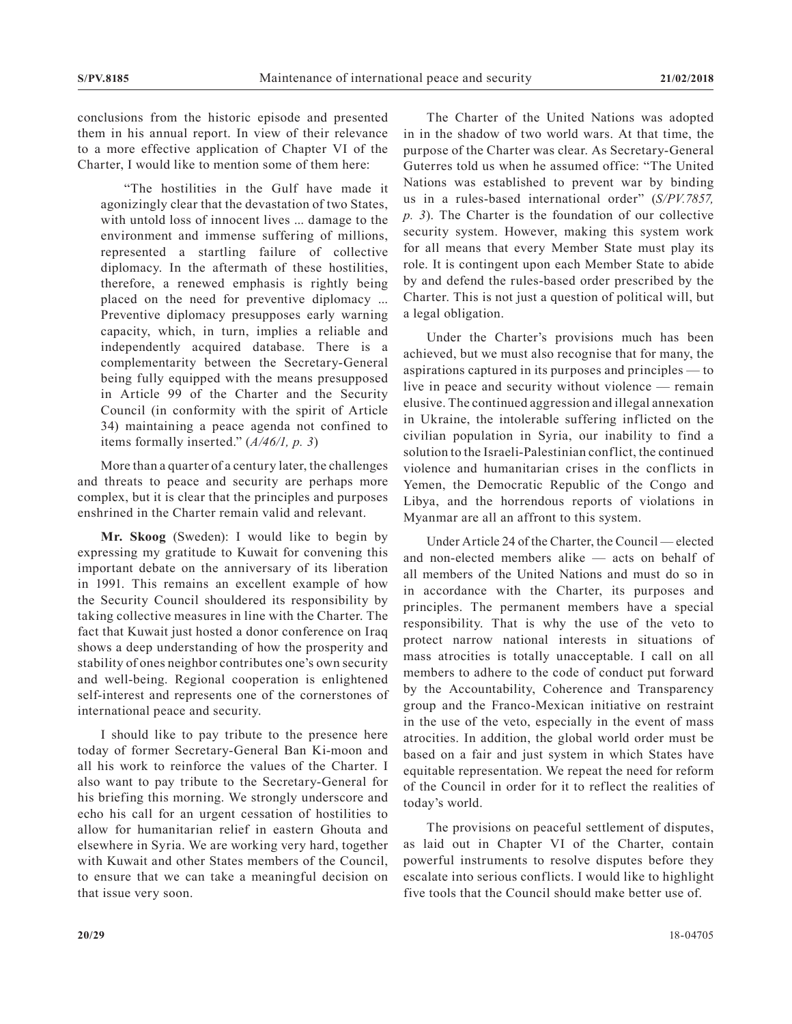conclusions from the historic episode and presented them in his annual report. In view of their relevance to a more effective application of Chapter VI of the Charter, I would like to mention some of them here:

"The hostilities in the Gulf have made it agonizingly clear that the devastation of two States, with untold loss of innocent lives ... damage to the environment and immense suffering of millions, represented a startling failure of collective diplomacy. In the aftermath of these hostilities, therefore, a renewed emphasis is rightly being placed on the need for preventive diplomacy ... Preventive diplomacy presupposes early warning capacity, which, in turn, implies a reliable and independently acquired database. There is a complementarity between the Secretary-General being fully equipped with the means presupposed in Article 99 of the Charter and the Security Council (in conformity with the spirit of Article 34) maintaining a peace agenda not confined to items formally inserted." (*A/46/1, p. 3*)

More than a quarter of a century later, the challenges and threats to peace and security are perhaps more complex, but it is clear that the principles and purposes enshrined in the Charter remain valid and relevant.

**Mr. Skoog** (Sweden): I would like to begin by expressing my gratitude to Kuwait for convening this important debate on the anniversary of its liberation in 1991. This remains an excellent example of how the Security Council shouldered its responsibility by taking collective measures in line with the Charter. The fact that Kuwait just hosted a donor conference on Iraq shows a deep understanding of how the prosperity and stability of ones neighbor contributes one's own security and well-being. Regional cooperation is enlightened self-interest and represents one of the cornerstones of international peace and security.

I should like to pay tribute to the presence here today of former Secretary-General Ban Ki-moon and all his work to reinforce the values of the Charter. I also want to pay tribute to the Secretary-General for his briefing this morning. We strongly underscore and echo his call for an urgent cessation of hostilities to allow for humanitarian relief in eastern Ghouta and elsewhere in Syria. We are working very hard, together with Kuwait and other States members of the Council, to ensure that we can take a meaningful decision on that issue very soon.

The Charter of the United Nations was adopted in in the shadow of two world wars. At that time, the purpose of the Charter was clear. As Secretary-General Guterres told us when he assumed office: "The United Nations was established to prevent war by binding us in a rules-based international order" (*S/PV.7857, p. 3*). The Charter is the foundation of our collective security system. However, making this system work for all means that every Member State must play its role. It is contingent upon each Member State to abide by and defend the rules-based order prescribed by the Charter. This is not just a question of political will, but a legal obligation.

Under the Charter's provisions much has been achieved, but we must also recognise that for many, the aspirations captured in its purposes and principles — to live in peace and security without violence — remain elusive. The continued aggression and illegal annexation in Ukraine, the intolerable suffering inflicted on the civilian population in Syria, our inability to find a solution to the Israeli-Palestinian conflict, the continued violence and humanitarian crises in the conflicts in Yemen, the Democratic Republic of the Congo and Libya, and the horrendous reports of violations in Myanmar are all an affront to this system.

Under Article 24 of the Charter, the Council — elected and non-elected members alike — acts on behalf of all members of the United Nations and must do so in in accordance with the Charter, its purposes and principles. The permanent members have a special responsibility. That is why the use of the veto to protect narrow national interests in situations of mass atrocities is totally unacceptable. I call on all members to adhere to the code of conduct put forward by the Accountability, Coherence and Transparency group and the Franco-Mexican initiative on restraint in the use of the veto, especially in the event of mass atrocities. In addition, the global world order must be based on a fair and just system in which States have equitable representation. We repeat the need for reform of the Council in order for it to reflect the realities of today's world.

The provisions on peaceful settlement of disputes, as laid out in Chapter VI of the Charter, contain powerful instruments to resolve disputes before they escalate into serious conflicts. I would like to highlight five tools that the Council should make better use of.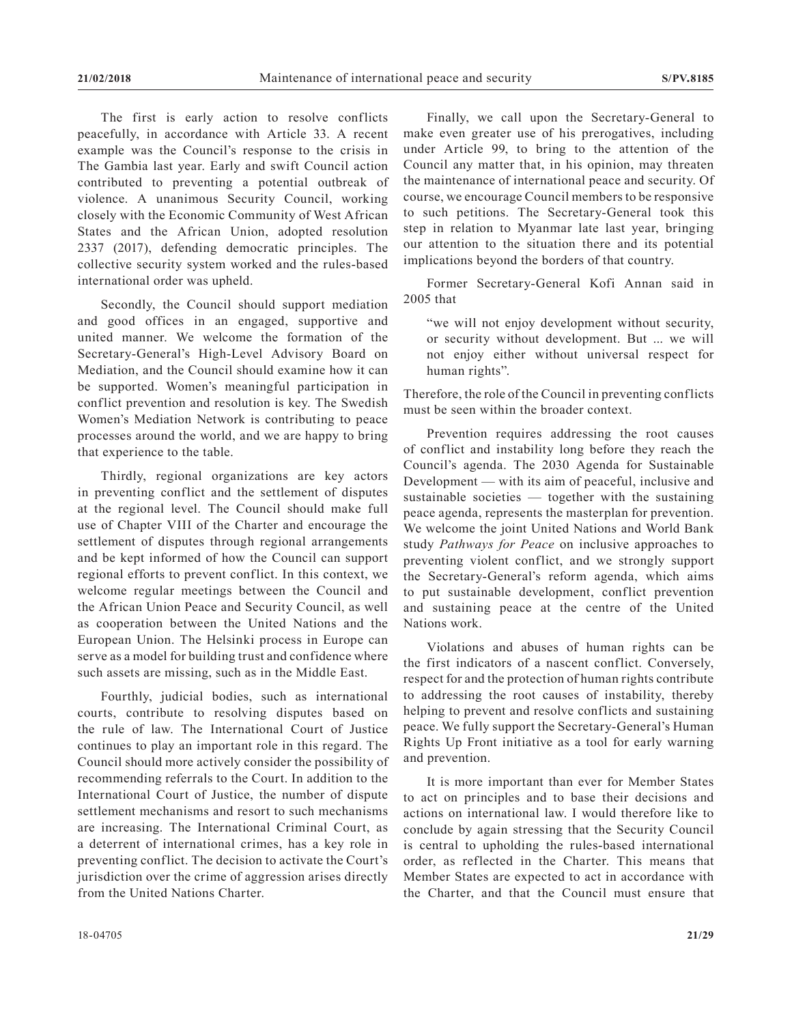The first is early action to resolve conflicts peacefully, in accordance with Article 33. A recent example was the Council's response to the crisis in The Gambia last year. Early and swift Council action contributed to preventing a potential outbreak of violence. A unanimous Security Council, working closely with the Economic Community of West African States and the African Union, adopted resolution 2337 (2017), defending democratic principles. The collective security system worked and the rules-based international order was upheld.

Secondly, the Council should support mediation and good offices in an engaged, supportive and united manner. We welcome the formation of the Secretary-General's High-Level Advisory Board on Mediation, and the Council should examine how it can be supported. Women's meaningful participation in conflict prevention and resolution is key. The Swedish Women's Mediation Network is contributing to peace processes around the world, and we are happy to bring that experience to the table.

Thirdly, regional organizations are key actors in preventing conflict and the settlement of disputes at the regional level. The Council should make full use of Chapter VIII of the Charter and encourage the settlement of disputes through regional arrangements and be kept informed of how the Council can support regional efforts to prevent conflict. In this context, we welcome regular meetings between the Council and the African Union Peace and Security Council, as well as cooperation between the United Nations and the European Union. The Helsinki process in Europe can serve as a model for building trust and confidence where such assets are missing, such as in the Middle East.

Fourthly, judicial bodies, such as international courts, contribute to resolving disputes based on the rule of law. The International Court of Justice continues to play an important role in this regard. The Council should more actively consider the possibility of recommending referrals to the Court. In addition to the International Court of Justice, the number of dispute settlement mechanisms and resort to such mechanisms are increasing. The International Criminal Court, as a deterrent of international crimes, has a key role in preventing conflict. The decision to activate the Court's jurisdiction over the crime of aggression arises directly from the United Nations Charter.

Finally, we call upon the Secretary-General to make even greater use of his prerogatives, including under Article 99, to bring to the attention of the Council any matter that, in his opinion, may threaten the maintenance of international peace and security. Of course, we encourage Council members to be responsive to such petitions. The Secretary-General took this step in relation to Myanmar late last year, bringing our attention to the situation there and its potential implications beyond the borders of that country.

Former Secretary-General Kofi Annan said in 2005 that

"we will not enjoy development without security, or security without development. But ... we will not enjoy either without universal respect for human rights".

Therefore, the role of the Council in preventing conflicts must be seen within the broader context.

Prevention requires addressing the root causes of conflict and instability long before they reach the Council's agenda. The 2030 Agenda for Sustainable Development — with its aim of peaceful, inclusive and sustainable societies — together with the sustaining peace agenda, represents the masterplan for prevention. We welcome the joint United Nations and World Bank study *Pathways for Peace* on inclusive approaches to preventing violent conflict, and we strongly support the Secretary-General's reform agenda, which aims to put sustainable development, conflict prevention and sustaining peace at the centre of the United Nations work.

Violations and abuses of human rights can be the first indicators of a nascent conflict. Conversely, respect for and the protection of human rights contribute to addressing the root causes of instability, thereby helping to prevent and resolve conflicts and sustaining peace. We fully support the Secretary-General's Human Rights Up Front initiative as a tool for early warning and prevention.

It is more important than ever for Member States to act on principles and to base their decisions and actions on international law. I would therefore like to conclude by again stressing that the Security Council is central to upholding the rules-based international order, as reflected in the Charter. This means that Member States are expected to act in accordance with the Charter, and that the Council must ensure that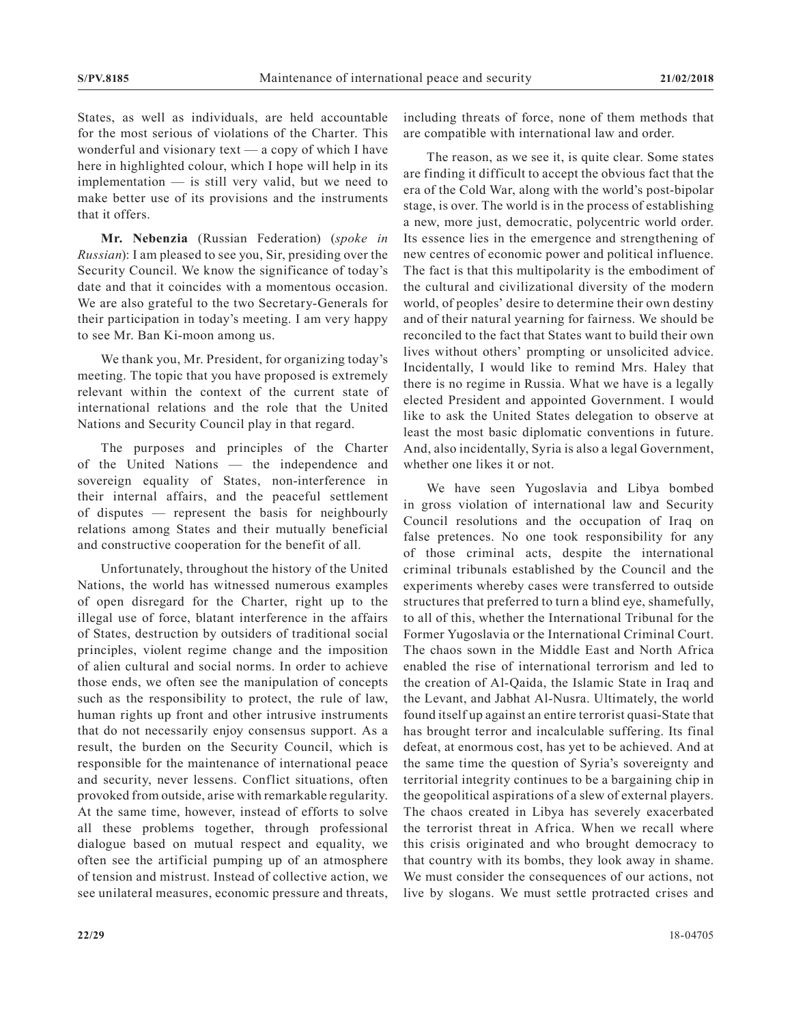States, as well as individuals, are held accountable for the most serious of violations of the Charter. This wonderful and visionary text — a copy of which I have here in highlighted colour, which I hope will help in its implementation — is still very valid, but we need to make better use of its provisions and the instruments that it offers.

**Mr. Nebenzia** (Russian Federation) (*spoke in Russian*): I am pleased to see you, Sir, presiding over the Security Council. We know the significance of today's date and that it coincides with a momentous occasion. We are also grateful to the two Secretary-Generals for their participation in today's meeting. I am very happy to see Mr. Ban Ki-moon among us.

We thank you, Mr. President, for organizing today's meeting. The topic that you have proposed is extremely relevant within the context of the current state of international relations and the role that the United Nations and Security Council play in that regard.

The purposes and principles of the Charter of the United Nations — the independence and sovereign equality of States, non-interference in their internal affairs, and the peaceful settlement of disputes — represent the basis for neighbourly relations among States and their mutually beneficial and constructive cooperation for the benefit of all.

Unfortunately, throughout the history of the United Nations, the world has witnessed numerous examples of open disregard for the Charter, right up to the illegal use of force, blatant interference in the affairs of States, destruction by outsiders of traditional social principles, violent regime change and the imposition of alien cultural and social norms. In order to achieve those ends, we often see the manipulation of concepts such as the responsibility to protect, the rule of law, human rights up front and other intrusive instruments that do not necessarily enjoy consensus support. As a result, the burden on the Security Council, which is responsible for the maintenance of international peace and security, never lessens. Conflict situations, often provoked from outside, arise with remarkable regularity. At the same time, however, instead of efforts to solve all these problems together, through professional dialogue based on mutual respect and equality, we often see the artificial pumping up of an atmosphere of tension and mistrust. Instead of collective action, we see unilateral measures, economic pressure and threats, including threats of force, none of them methods that are compatible with international law and order.

The reason, as we see it, is quite clear. Some states are finding it difficult to accept the obvious fact that the era of the Cold War, along with the world's post-bipolar stage, is over. The world is in the process of establishing a new, more just, democratic, polycentric world order. Its essence lies in the emergence and strengthening of new centres of economic power and political influence. The fact is that this multipolarity is the embodiment of the cultural and civilizational diversity of the modern world, of peoples' desire to determine their own destiny and of their natural yearning for fairness. We should be reconciled to the fact that States want to build their own lives without others' prompting or unsolicited advice. Incidentally, I would like to remind Mrs. Haley that there is no regime in Russia. What we have is a legally elected President and appointed Government. I would like to ask the United States delegation to observe at least the most basic diplomatic conventions in future. And, also incidentally, Syria is also a legal Government, whether one likes it or not.

We have seen Yugoslavia and Libya bombed in gross violation of international law and Security Council resolutions and the occupation of Iraq on false pretences. No one took responsibility for any of those criminal acts, despite the international criminal tribunals established by the Council and the experiments whereby cases were transferred to outside structures that preferred to turn a blind eye, shamefully, to all of this, whether the International Tribunal for the Former Yugoslavia or the International Criminal Court. The chaos sown in the Middle East and North Africa enabled the rise of international terrorism and led to the creation of Al-Qaida, the Islamic State in Iraq and the Levant, and Jabhat Al-Nusra. Ultimately, the world found itself up against an entire terrorist quasi-State that has brought terror and incalculable suffering. Its final defeat, at enormous cost, has yet to be achieved. And at the same time the question of Syria's sovereignty and territorial integrity continues to be a bargaining chip in the geopolitical aspirations of a slew of external players. The chaos created in Libya has severely exacerbated the terrorist threat in Africa. When we recall where this crisis originated and who brought democracy to that country with its bombs, they look away in shame. We must consider the consequences of our actions, not live by slogans. We must settle protracted crises and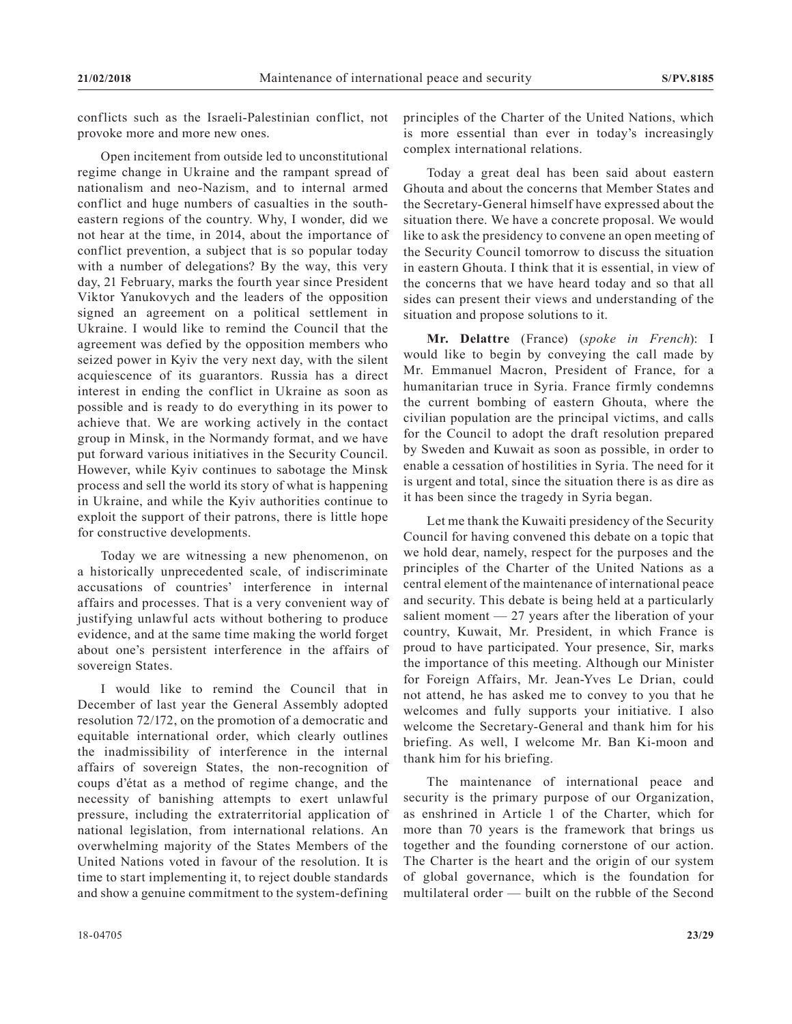conflicts such as the Israeli-Palestinian conflict, not provoke more and more new ones.

Open incitement from outside led to unconstitutional regime change in Ukraine and the rampant spread of nationalism and neo-Nazism, and to internal armed conflict and huge numbers of casualties in the southeastern regions of the country. Why, I wonder, did we not hear at the time, in 2014, about the importance of conflict prevention, a subject that is so popular today with a number of delegations? By the way, this very day, 21 February, marks the fourth year since President Viktor Yanukovych and the leaders of the opposition signed an agreement on a political settlement in Ukraine. I would like to remind the Council that the agreement was defied by the opposition members who seized power in Kyiv the very next day, with the silent acquiescence of its guarantors. Russia has a direct interest in ending the conflict in Ukraine as soon as possible and is ready to do everything in its power to achieve that. We are working actively in the contact group in Minsk, in the Normandy format, and we have put forward various initiatives in the Security Council. However, while Kyiv continues to sabotage the Minsk process and sell the world its story of what is happening in Ukraine, and while the Kyiv authorities continue to exploit the support of their patrons, there is little hope for constructive developments.

Today we are witnessing a new phenomenon, on a historically unprecedented scale, of indiscriminate accusations of countries' interference in internal affairs and processes. That is a very convenient way of justifying unlawful acts without bothering to produce evidence, and at the same time making the world forget about one's persistent interference in the affairs of sovereign States.

I would like to remind the Council that in December of last year the General Assembly adopted resolution 72/172, on the promotion of a democratic and equitable international order, which clearly outlines the inadmissibility of interference in the internal affairs of sovereign States, the non-recognition of coups d'état as a method of regime change, and the necessity of banishing attempts to exert unlawful pressure, including the extraterritorial application of national legislation, from international relations. An overwhelming majority of the States Members of the United Nations voted in favour of the resolution. It is time to start implementing it, to reject double standards and show a genuine commitment to the system-defining

Today a great deal has been said about eastern Ghouta and about the concerns that Member States and the Secretary-General himself have expressed about the situation there. We have a concrete proposal. We would like to ask the presidency to convene an open meeting of the Security Council tomorrow to discuss the situation in eastern Ghouta. I think that it is essential, in view of the concerns that we have heard today and so that all sides can present their views and understanding of the situation and propose solutions to it.

**Mr. Delattre** (France) (*spoke in French*): I would like to begin by conveying the call made by Mr. Emmanuel Macron, President of France, for a humanitarian truce in Syria. France firmly condemns the current bombing of eastern Ghouta, where the civilian population are the principal victims, and calls for the Council to adopt the draft resolution prepared by Sweden and Kuwait as soon as possible, in order to enable a cessation of hostilities in Syria. The need for it is urgent and total, since the situation there is as dire as it has been since the tragedy in Syria began.

Let me thank the Kuwaiti presidency of the Security Council for having convened this debate on a topic that we hold dear, namely, respect for the purposes and the principles of the Charter of the United Nations as a central element of the maintenance of international peace and security. This debate is being held at a particularly salient moment  $-27$  years after the liberation of your country, Kuwait, Mr. President, in which France is proud to have participated. Your presence, Sir, marks the importance of this meeting. Although our Minister for Foreign Affairs, Mr. Jean-Yves Le Drian, could not attend, he has asked me to convey to you that he welcomes and fully supports your initiative. I also welcome the Secretary-General and thank him for his briefing. As well, I welcome Mr. Ban Ki-moon and thank him for his briefing.

The maintenance of international peace and security is the primary purpose of our Organization, as enshrined in Article 1 of the Charter, which for more than 70 years is the framework that brings us together and the founding cornerstone of our action. The Charter is the heart and the origin of our system of global governance, which is the foundation for multilateral order — built on the rubble of the Second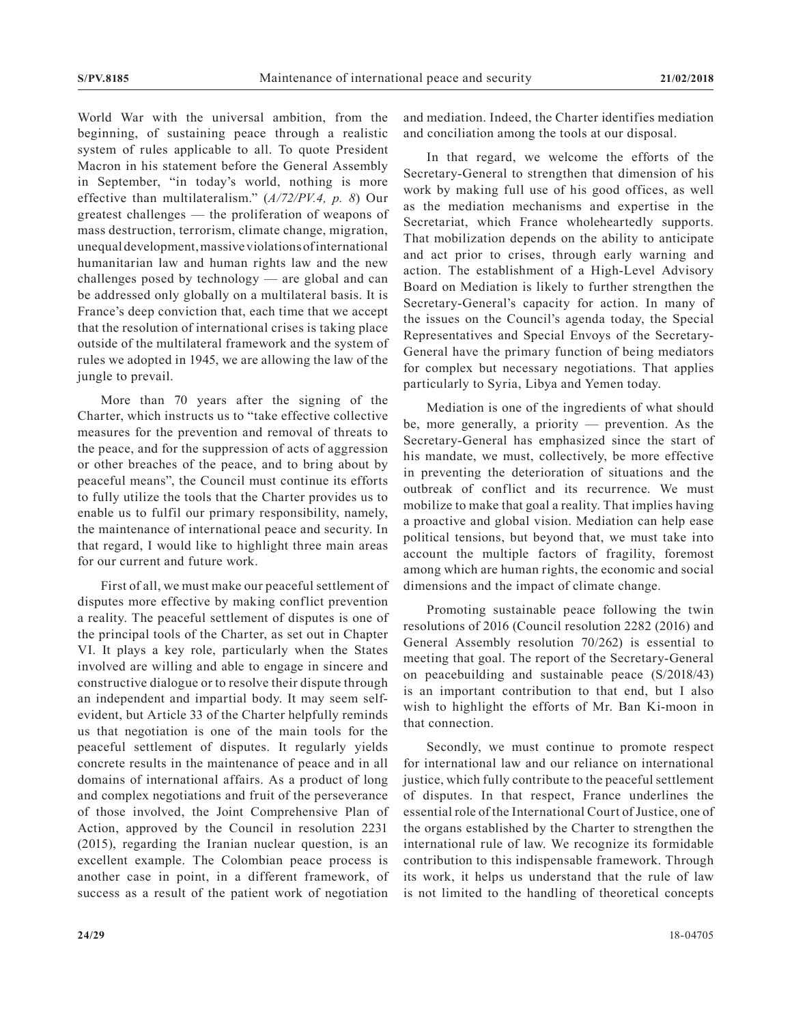World War with the universal ambition, from the beginning, of sustaining peace through a realistic system of rules applicable to all. To quote President Macron in his statement before the General Assembly in September, "in today's world, nothing is more effective than multilateralism." (*A/72/PV.4, p. 8*) Our greatest challenges — the proliferation of weapons of mass destruction, terrorism, climate change, migration, unequal development, massive violations of international humanitarian law and human rights law and the new challenges posed by technology — are global and can be addressed only globally on a multilateral basis. It is France's deep conviction that, each time that we accept that the resolution of international crises is taking place outside of the multilateral framework and the system of rules we adopted in 1945, we are allowing the law of the jungle to prevail.

More than 70 years after the signing of the Charter, which instructs us to "take effective collective measures for the prevention and removal of threats to the peace, and for the suppression of acts of aggression or other breaches of the peace, and to bring about by peaceful means", the Council must continue its efforts to fully utilize the tools that the Charter provides us to enable us to fulfil our primary responsibility, namely, the maintenance of international peace and security. In that regard, I would like to highlight three main areas for our current and future work.

First of all, we must make our peaceful settlement of disputes more effective by making conflict prevention a reality. The peaceful settlement of disputes is one of the principal tools of the Charter, as set out in Chapter VI. It plays a key role, particularly when the States involved are willing and able to engage in sincere and constructive dialogue or to resolve their dispute through an independent and impartial body. It may seem selfevident, but Article 33 of the Charter helpfully reminds us that negotiation is one of the main tools for the peaceful settlement of disputes. It regularly yields concrete results in the maintenance of peace and in all domains of international affairs. As a product of long and complex negotiations and fruit of the perseverance of those involved, the Joint Comprehensive Plan of Action, approved by the Council in resolution 2231 (2015), regarding the Iranian nuclear question, is an excellent example. The Colombian peace process is another case in point, in a different framework, of success as a result of the patient work of negotiation

and mediation. Indeed, the Charter identifies mediation and conciliation among the tools at our disposal.

In that regard, we welcome the efforts of the Secretary-General to strengthen that dimension of his work by making full use of his good offices, as well as the mediation mechanisms and expertise in the Secretariat, which France wholeheartedly supports. That mobilization depends on the ability to anticipate and act prior to crises, through early warning and action. The establishment of a High-Level Advisory Board on Mediation is likely to further strengthen the Secretary-General's capacity for action. In many of the issues on the Council's agenda today, the Special Representatives and Special Envoys of the Secretary-General have the primary function of being mediators for complex but necessary negotiations. That applies particularly to Syria, Libya and Yemen today.

Mediation is one of the ingredients of what should be, more generally, a priority — prevention. As the Secretary-General has emphasized since the start of his mandate, we must, collectively, be more effective in preventing the deterioration of situations and the outbreak of conflict and its recurrence. We must mobilize to make that goal a reality. That implies having a proactive and global vision. Mediation can help ease political tensions, but beyond that, we must take into account the multiple factors of fragility, foremost among which are human rights, the economic and social dimensions and the impact of climate change.

Promoting sustainable peace following the twin resolutions of 2016 (Council resolution 2282 (2016) and General Assembly resolution 70/262) is essential to meeting that goal. The report of the Secretary-General on peacebuilding and sustainable peace (S/2018/43) is an important contribution to that end, but I also wish to highlight the efforts of Mr. Ban Ki-moon in that connection.

Secondly, we must continue to promote respect for international law and our reliance on international justice, which fully contribute to the peaceful settlement of disputes. In that respect, France underlines the essential role of the International Court of Justice, one of the organs established by the Charter to strengthen the international rule of law. We recognize its formidable contribution to this indispensable framework. Through its work, it helps us understand that the rule of law is not limited to the handling of theoretical concepts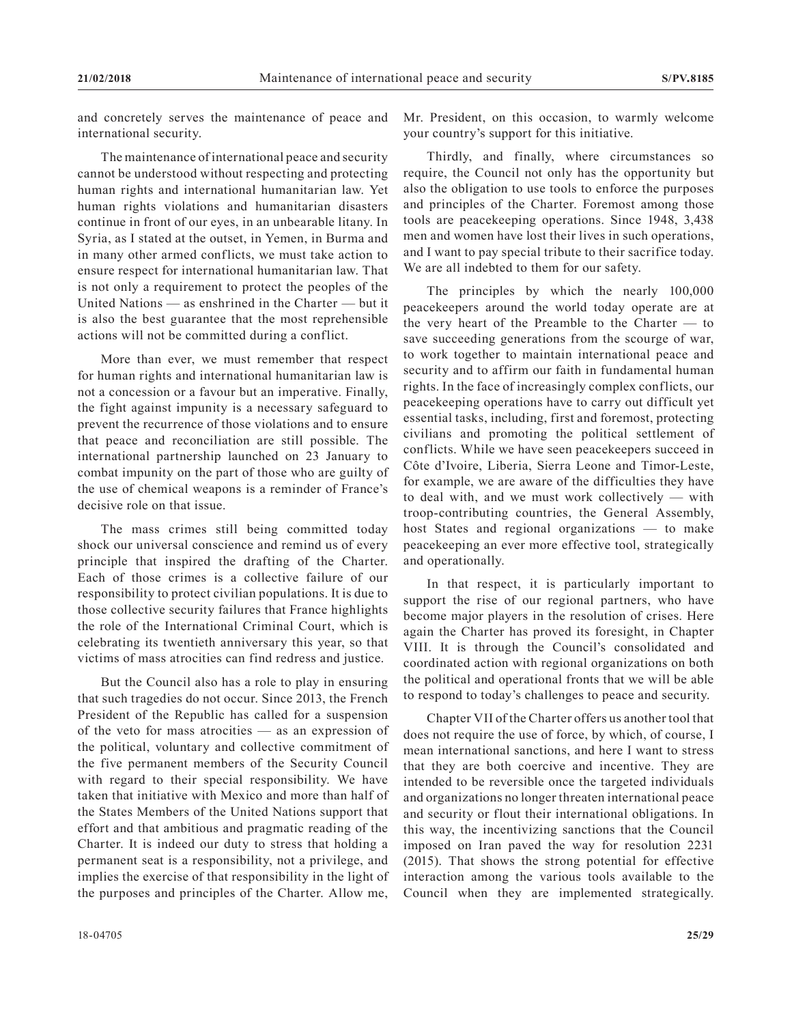and concretely serves the maintenance of peace and international security.

The maintenance of international peace and security cannot be understood without respecting and protecting human rights and international humanitarian law. Yet human rights violations and humanitarian disasters continue in front of our eyes, in an unbearable litany. In Syria, as I stated at the outset, in Yemen, in Burma and in many other armed conflicts, we must take action to ensure respect for international humanitarian law. That is not only a requirement to protect the peoples of the United Nations — as enshrined in the Charter — but it is also the best guarantee that the most reprehensible actions will not be committed during a conflict.

More than ever, we must remember that respect for human rights and international humanitarian law is not a concession or a favour but an imperative. Finally, the fight against impunity is a necessary safeguard to prevent the recurrence of those violations and to ensure that peace and reconciliation are still possible. The international partnership launched on 23 January to combat impunity on the part of those who are guilty of the use of chemical weapons is a reminder of France's decisive role on that issue.

The mass crimes still being committed today shock our universal conscience and remind us of every principle that inspired the drafting of the Charter. Each of those crimes is a collective failure of our responsibility to protect civilian populations. It is due to those collective security failures that France highlights the role of the International Criminal Court, which is celebrating its twentieth anniversary this year, so that victims of mass atrocities can find redress and justice.

But the Council also has a role to play in ensuring that such tragedies do not occur. Since 2013, the French President of the Republic has called for a suspension of the veto for mass atrocities — as an expression of the political, voluntary and collective commitment of the five permanent members of the Security Council with regard to their special responsibility. We have taken that initiative with Mexico and more than half of the States Members of the United Nations support that effort and that ambitious and pragmatic reading of the Charter. It is indeed our duty to stress that holding a permanent seat is a responsibility, not a privilege, and implies the exercise of that responsibility in the light of the purposes and principles of the Charter. Allow me,

Mr. President, on this occasion, to warmly welcome your country's support for this initiative.

Thirdly, and finally, where circumstances so require, the Council not only has the opportunity but also the obligation to use tools to enforce the purposes and principles of the Charter. Foremost among those tools are peacekeeping operations. Since 1948, 3,438 men and women have lost their lives in such operations, and I want to pay special tribute to their sacrifice today. We are all indebted to them for our safety.

The principles by which the nearly 100,000 peacekeepers around the world today operate are at the very heart of the Preamble to the Charter — to save succeeding generations from the scourge of war, to work together to maintain international peace and security and to affirm our faith in fundamental human rights. In the face of increasingly complex conflicts, our peacekeeping operations have to carry out difficult yet essential tasks, including, first and foremost, protecting civilians and promoting the political settlement of conflicts. While we have seen peacekeepers succeed in Côte d'Ivoire, Liberia, Sierra Leone and Timor-Leste, for example, we are aware of the difficulties they have to deal with, and we must work collectively — with troop-contributing countries, the General Assembly, host States and regional organizations — to make peacekeeping an ever more effective tool, strategically and operationally.

In that respect, it is particularly important to support the rise of our regional partners, who have become major players in the resolution of crises. Here again the Charter has proved its foresight, in Chapter VIII. It is through the Council's consolidated and coordinated action with regional organizations on both the political and operational fronts that we will be able to respond to today's challenges to peace and security.

Chapter VII of the Charter offers us another tool that does not require the use of force, by which, of course, I mean international sanctions, and here I want to stress that they are both coercive and incentive. They are intended to be reversible once the targeted individuals and organizations no longer threaten international peace and security or flout their international obligations. In this way, the incentivizing sanctions that the Council imposed on Iran paved the way for resolution 2231 (2015). That shows the strong potential for effective interaction among the various tools available to the Council when they are implemented strategically.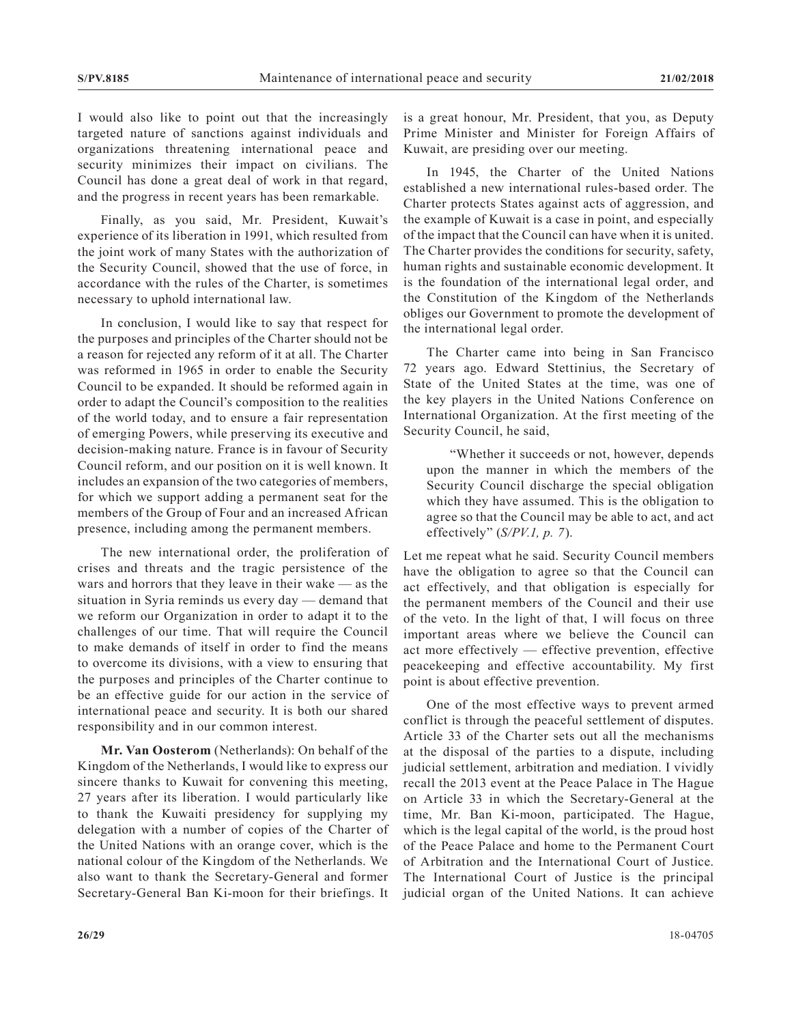I would also like to point out that the increasingly targeted nature of sanctions against individuals and organizations threatening international peace and security minimizes their impact on civilians. The Council has done a great deal of work in that regard, and the progress in recent years has been remarkable.

Finally, as you said, Mr. President, Kuwait's experience of its liberation in 1991, which resulted from the joint work of many States with the authorization of the Security Council, showed that the use of force, in accordance with the rules of the Charter, is sometimes necessary to uphold international law.

In conclusion, I would like to say that respect for the purposes and principles of the Charter should not be a reason for rejected any reform of it at all. The Charter was reformed in 1965 in order to enable the Security Council to be expanded. It should be reformed again in order to adapt the Council's composition to the realities of the world today, and to ensure a fair representation of emerging Powers, while preserving its executive and decision-making nature. France is in favour of Security Council reform, and our position on it is well known. It includes an expansion of the two categories of members, for which we support adding a permanent seat for the members of the Group of Four and an increased African presence, including among the permanent members.

The new international order, the proliferation of crises and threats and the tragic persistence of the wars and horrors that they leave in their wake — as the situation in Syria reminds us every day — demand that we reform our Organization in order to adapt it to the challenges of our time. That will require the Council to make demands of itself in order to find the means to overcome its divisions, with a view to ensuring that the purposes and principles of the Charter continue to be an effective guide for our action in the service of international peace and security. It is both our shared responsibility and in our common interest.

**Mr. Van Oosterom** (Netherlands): On behalf of the Kingdom of the Netherlands, I would like to express our sincere thanks to Kuwait for convening this meeting, 27 years after its liberation. I would particularly like to thank the Kuwaiti presidency for supplying my delegation with a number of copies of the Charter of the United Nations with an orange cover, which is the national colour of the Kingdom of the Netherlands. We also want to thank the Secretary-General and former Secretary-General Ban Ki-moon for their briefings. It is a great honour, Mr. President, that you, as Deputy Prime Minister and Minister for Foreign Affairs of Kuwait, are presiding over our meeting.

In 1945, the Charter of the United Nations established a new international rules-based order. The Charter protects States against acts of aggression, and the example of Kuwait is a case in point, and especially of the impact that the Council can have when it is united. The Charter provides the conditions for security, safety, human rights and sustainable economic development. It is the foundation of the international legal order, and the Constitution of the Kingdom of the Netherlands obliges our Government to promote the development of the international legal order.

The Charter came into being in San Francisco 72 years ago. Edward Stettinius, the Secretary of State of the United States at the time, was one of the key players in the United Nations Conference on International Organization. At the first meeting of the Security Council, he said,

"Whether it succeeds or not, however, depends upon the manner in which the members of the Security Council discharge the special obligation which they have assumed. This is the obligation to agree so that the Council may be able to act, and act effectively" (*S/PV.1, p. 7*).

Let me repeat what he said. Security Council members have the obligation to agree so that the Council can act effectively, and that obligation is especially for the permanent members of the Council and their use of the veto. In the light of that, I will focus on three important areas where we believe the Council can act more effectively — effective prevention, effective peacekeeping and effective accountability. My first point is about effective prevention.

One of the most effective ways to prevent armed conflict is through the peaceful settlement of disputes. Article 33 of the Charter sets out all the mechanisms at the disposal of the parties to a dispute, including judicial settlement, arbitration and mediation. I vividly recall the 2013 event at the Peace Palace in The Hague on Article 33 in which the Secretary-General at the time, Mr. Ban Ki-moon, participated. The Hague, which is the legal capital of the world, is the proud host of the Peace Palace and home to the Permanent Court of Arbitration and the International Court of Justice. The International Court of Justice is the principal judicial organ of the United Nations. It can achieve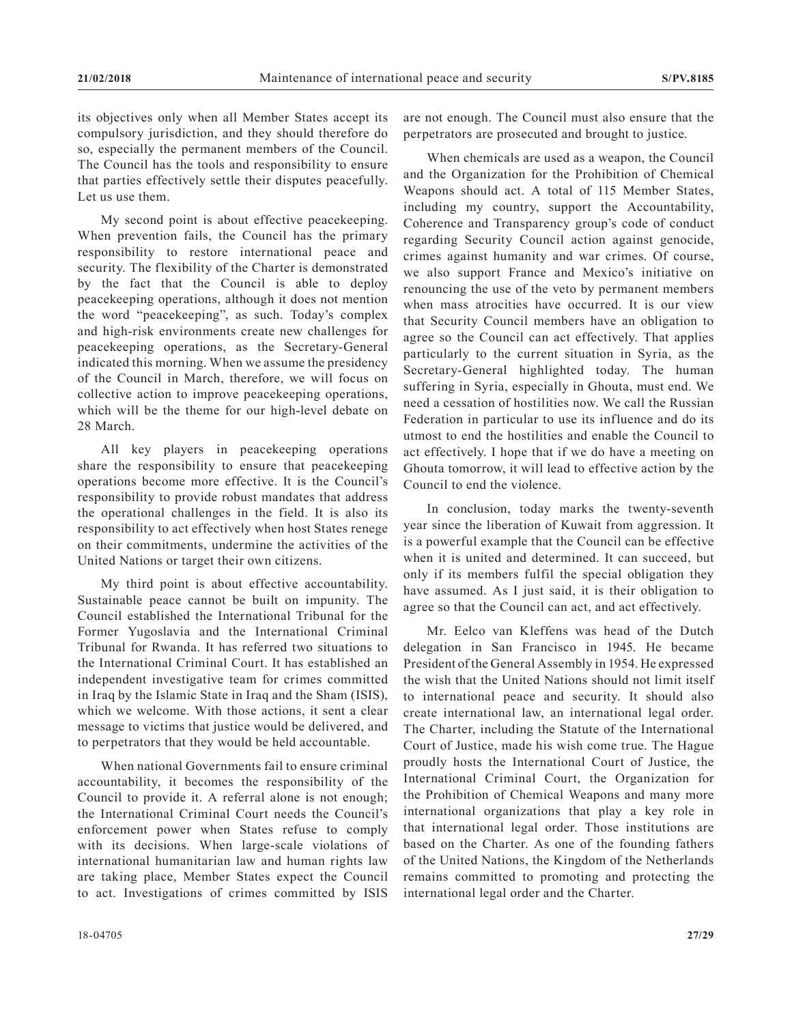its objectives only when all Member States accept its compulsory jurisdiction, and they should therefore do so, especially the permanent members of the Council. The Council has the tools and responsibility to ensure that parties effectively settle their disputes peacefully. Let us use them.

My second point is about effective peacekeeping. When prevention fails, the Council has the primary responsibility to restore international peace and security. The flexibility of the Charter is demonstrated by the fact that the Council is able to deploy peacekeeping operations, although it does not mention the word "peacekeeping", as such. Today's complex and high-risk environments create new challenges for peacekeeping operations, as the Secretary-General indicated this morning. When we assume the presidency of the Council in March, therefore, we will focus on collective action to improve peacekeeping operations, which will be the theme for our high-level debate on 28 March.

All key players in peacekeeping operations share the responsibility to ensure that peacekeeping operations become more effective. It is the Council's responsibility to provide robust mandates that address the operational challenges in the field. It is also its responsibility to act effectively when host States renege on their commitments, undermine the activities of the United Nations or target their own citizens.

My third point is about effective accountability. Sustainable peace cannot be built on impunity. The Council established the International Tribunal for the Former Yugoslavia and the International Criminal Tribunal for Rwanda. It has referred two situations to the International Criminal Court. It has established an independent investigative team for crimes committed in Iraq by the Islamic State in Iraq and the Sham (ISIS), which we welcome. With those actions, it sent a clear message to victims that justice would be delivered, and to perpetrators that they would be held accountable.

When national Governments fail to ensure criminal accountability, it becomes the responsibility of the Council to provide it. A referral alone is not enough; the International Criminal Court needs the Council's enforcement power when States refuse to comply with its decisions. When large-scale violations of international humanitarian law and human rights law are taking place, Member States expect the Council to act. Investigations of crimes committed by ISIS

are not enough. The Council must also ensure that the perpetrators are prosecuted and brought to justice.

When chemicals are used as a weapon, the Council and the Organization for the Prohibition of Chemical Weapons should act. A total of 115 Member States, including my country, support the Accountability, Coherence and Transparency group's code of conduct regarding Security Council action against genocide, crimes against humanity and war crimes. Of course, we also support France and Mexico's initiative on renouncing the use of the veto by permanent members when mass atrocities have occurred. It is our view that Security Council members have an obligation to agree so the Council can act effectively. That applies particularly to the current situation in Syria, as the Secretary-General highlighted today. The human suffering in Syria, especially in Ghouta, must end. We need a cessation of hostilities now. We call the Russian Federation in particular to use its influence and do its utmost to end the hostilities and enable the Council to act effectively. I hope that if we do have a meeting on Ghouta tomorrow, it will lead to effective action by the Council to end the violence.

In conclusion, today marks the twenty-seventh year since the liberation of Kuwait from aggression. It is a powerful example that the Council can be effective when it is united and determined. It can succeed, but only if its members fulfil the special obligation they have assumed. As I just said, it is their obligation to agree so that the Council can act, and act effectively.

Mr. Eelco van Kleffens was head of the Dutch delegation in San Francisco in 1945. He became President of the General Assembly in 1954. He expressed the wish that the United Nations should not limit itself to international peace and security. It should also create international law, an international legal order. The Charter, including the Statute of the International Court of Justice, made his wish come true. The Hague proudly hosts the International Court of Justice, the International Criminal Court, the Organization for the Prohibition of Chemical Weapons and many more international organizations that play a key role in that international legal order. Those institutions are based on the Charter. As one of the founding fathers of the United Nations, the Kingdom of the Netherlands remains committed to promoting and protecting the international legal order and the Charter.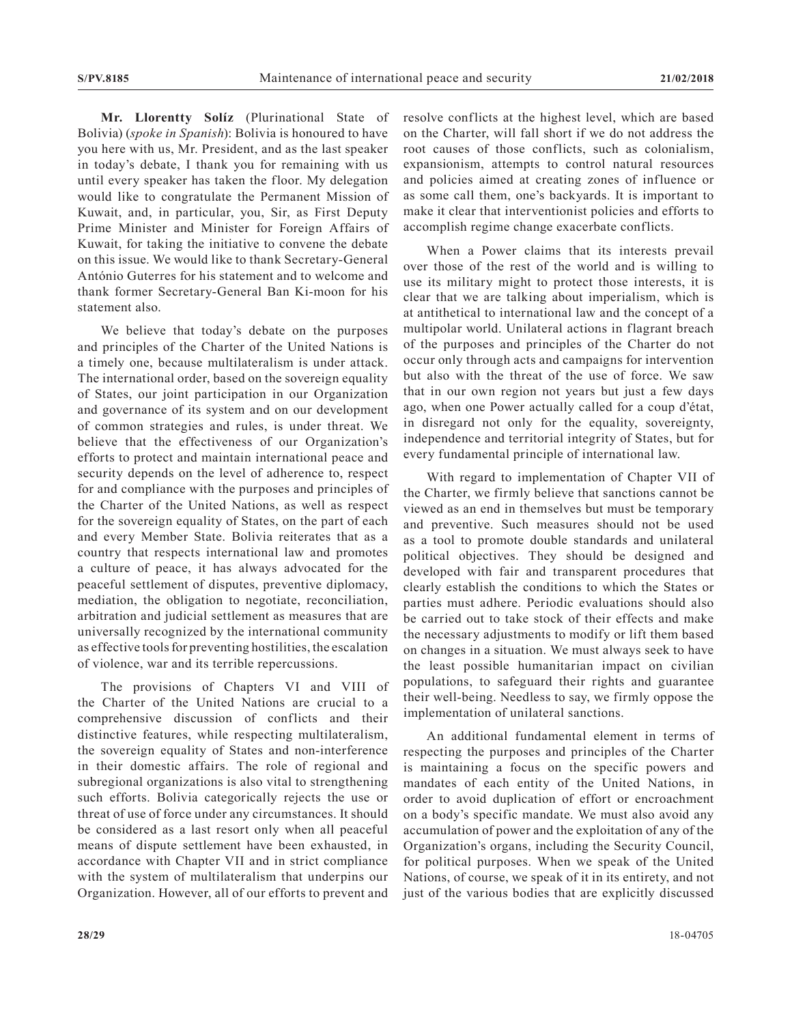**Mr. Llorentty Solíz** (Plurinational State of Bolivia) (*spoke in Spanish*): Bolivia is honoured to have you here with us, Mr. President, and as the last speaker in today's debate, I thank you for remaining with us until every speaker has taken the floor. My delegation would like to congratulate the Permanent Mission of Kuwait, and, in particular, you, Sir, as First Deputy Prime Minister and Minister for Foreign Affairs of Kuwait, for taking the initiative to convene the debate on this issue. We would like to thank Secretary-General António Guterres for his statement and to welcome and thank former Secretary-General Ban Ki-moon for his statement also.

We believe that today's debate on the purposes and principles of the Charter of the United Nations is a timely one, because multilateralism is under attack. The international order, based on the sovereign equality of States, our joint participation in our Organization and governance of its system and on our development of common strategies and rules, is under threat. We believe that the effectiveness of our Organization's efforts to protect and maintain international peace and security depends on the level of adherence to, respect for and compliance with the purposes and principles of the Charter of the United Nations, as well as respect for the sovereign equality of States, on the part of each and every Member State. Bolivia reiterates that as a country that respects international law and promotes a culture of peace, it has always advocated for the peaceful settlement of disputes, preventive diplomacy, mediation, the obligation to negotiate, reconciliation, arbitration and judicial settlement as measures that are universally recognized by the international community as effective tools for preventing hostilities, the escalation of violence, war and its terrible repercussions.

The provisions of Chapters VI and VIII of the Charter of the United Nations are crucial to a comprehensive discussion of conflicts and their distinctive features, while respecting multilateralism, the sovereign equality of States and non-interference in their domestic affairs. The role of regional and subregional organizations is also vital to strengthening such efforts. Bolivia categorically rejects the use or threat of use of force under any circumstances. It should be considered as a last resort only when all peaceful means of dispute settlement have been exhausted, in accordance with Chapter VII and in strict compliance with the system of multilateralism that underpins our Organization. However, all of our efforts to prevent and

resolve conflicts at the highest level, which are based on the Charter, will fall short if we do not address the root causes of those conflicts, such as colonialism, expansionism, attempts to control natural resources and policies aimed at creating zones of influence or as some call them, one's backyards. It is important to make it clear that interventionist policies and efforts to accomplish regime change exacerbate conflicts.

When a Power claims that its interests prevail over those of the rest of the world and is willing to use its military might to protect those interests, it is clear that we are talking about imperialism, which is at antithetical to international law and the concept of a multipolar world. Unilateral actions in flagrant breach of the purposes and principles of the Charter do not occur only through acts and campaigns for intervention but also with the threat of the use of force. We saw that in our own region not years but just a few days ago, when one Power actually called for a coup d'état, in disregard not only for the equality, sovereignty, independence and territorial integrity of States, but for every fundamental principle of international law.

With regard to implementation of Chapter VII of the Charter, we firmly believe that sanctions cannot be viewed as an end in themselves but must be temporary and preventive. Such measures should not be used as a tool to promote double standards and unilateral political objectives. They should be designed and developed with fair and transparent procedures that clearly establish the conditions to which the States or parties must adhere. Periodic evaluations should also be carried out to take stock of their effects and make the necessary adjustments to modify or lift them based on changes in a situation. We must always seek to have the least possible humanitarian impact on civilian populations, to safeguard their rights and guarantee their well-being. Needless to say, we firmly oppose the implementation of unilateral sanctions.

An additional fundamental element in terms of respecting the purposes and principles of the Charter is maintaining a focus on the specific powers and mandates of each entity of the United Nations, in order to avoid duplication of effort or encroachment on a body's specific mandate. We must also avoid any accumulation of power and the exploitation of any of the Organization's organs, including the Security Council, for political purposes. When we speak of the United Nations, of course, we speak of it in its entirety, and not just of the various bodies that are explicitly discussed